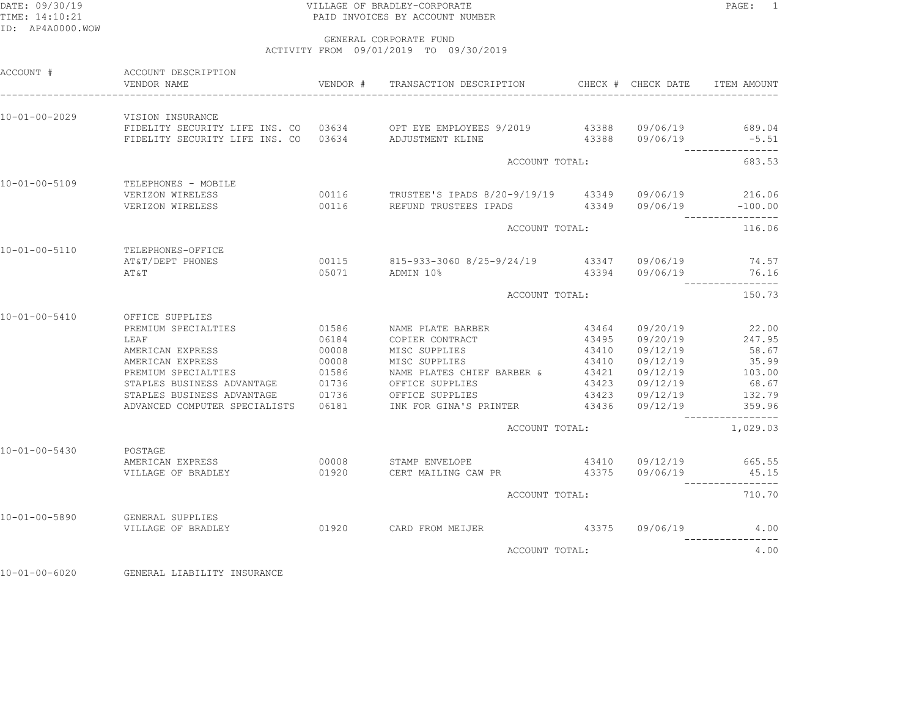# DATE: 09/30/19 PAGE: 1 PAGE: 1 TIME: 14:10:21 PAID INVOICES BY ACCOUNT NUMBER

 GENERAL CORPORATE FUNDACTIVITY FROM 09/01/2019 TO 09/30/2019

| ACCOUNT #             | ACCOUNT DESCRIPTION<br>VENDOR NAME                                                          |       | VENDOR # TRANSACTION DESCRIPTION                                                    |       | CHECK # CHECK DATE    | ITEM AMOUNT      |
|-----------------------|---------------------------------------------------------------------------------------------|-------|-------------------------------------------------------------------------------------|-------|-----------------------|------------------|
| 10-01-00-2029         | VISION INSURANCE                                                                            |       | FIDELITY SECURITY LIFE INS. CO 03634 OPT EYE EMPLOYEES 9/2019 43388 09/06/19 689.04 |       |                       |                  |
|                       | FIDELITY SECURITY LIFE INS. CO 03634 ADJUSTMENT KLINE                                       |       |                                                                                     |       | 43388 09/06/19        | $-5.51$          |
|                       |                                                                                             |       | ACCOUNT TOTAL:                                                                      |       |                       | 683.53           |
| 10-01-00-5109         | TELEPHONES - MOBILE                                                                         |       |                                                                                     |       |                       |                  |
|                       | VERIZON WIRELESS                                                                            |       | 00116 TRUSTEE'S IPADS 8/20-9/19/19 43349 09/06/19 216.06                            |       |                       |                  |
|                       | VERIZON WIRELESS                                                                            |       | 00116 REFUND TRUSTEES IPADS 43349 09/06/19 -100.00                                  |       |                       | ------           |
|                       |                                                                                             |       | ACCOUNT TOTAL:                                                                      |       |                       | 116.06           |
| 10-01-00-5110         | TELEPHONES-OFFICE                                                                           |       |                                                                                     |       |                       |                  |
|                       | AT&T/DEPT PHONES<br>AΤ&Τ                                                                    |       | 00115 815-933-3060 8/25-9/24/19 43347 09/06/19 74.57<br>05071 ADMIN 10%             |       | 43394 09/06/19 76.16  |                  |
|                       |                                                                                             |       | ACCOUNT TOTAL:                                                                      |       |                       | 150.73           |
| $10 - 01 - 00 - 5410$ | OFFICE SUPPLIES                                                                             |       |                                                                                     |       |                       |                  |
|                       | PREMIUM SPECIALTIES                                                                         | 01586 | NAME PLATE BARBER                                                                   | 43464 | 09/20/19              | 22.00            |
|                       | LEAF                                                                                        | 06184 | COPIER CONTRACT                                                                     | 43495 |                       | 09/20/19 247.95  |
|                       | AMERICAN EXPRESS                                                                            | 00008 | MISC SUPPLIES                                                                       | 43410 | 09/12/19              | 58.67            |
|                       | AMERICAN EXPRESS                                                                            | 00008 | MISC SUPPLIES                                                                       |       | 43410 09/12/19        | 35.99            |
|                       | PREMIUM SPECIALTIES<br>STAPLES BUSINESS ADVANTAGE 01736<br>STAPLES BUSINESS ADVANTAGE 01736 |       | NAME PLATES CHIEF BARBER &                                                          | 43421 |                       | 09/12/19 103.00  |
|                       |                                                                                             |       | OFFICE SUPPLIES                                                                     |       |                       | 68.67            |
|                       | ADVANCED COMPUTER SPECIALISTS                                                               | 06181 | OFFICE SUPPLIES<br>INK FOR GINA'S PRINTER 43436                                     |       | 09/12/19              | 132.79<br>359.96 |
|                       |                                                                                             |       | ACCOUNT TOTAL:                                                                      |       |                       | 1,029.03         |
| 10-01-00-5430         | POSTAGE                                                                                     |       |                                                                                     |       |                       |                  |
|                       | AMERICAN EXPRESS                                                                            |       | 00008 STAMP ENVELOPE                                                                |       | 43410 09/12/19 665.55 |                  |
|                       | VILLAGE OF BRADLEY                                                                          | 01920 | CERT MAILING CAW PR 43375                                                           |       |                       | 09/06/19 45.15   |
|                       |                                                                                             |       | ACCOUNT TOTAL:                                                                      |       |                       | 710.70           |
| $10 - 01 - 00 - 5890$ | <b>GENERAL SUPPLIES</b>                                                                     |       |                                                                                     |       |                       |                  |
|                       | VILLAGE OF BRADLEY                                                                          |       | 01920 CARD FROM MEIJER 43375 09/06/19 4.00                                          |       |                       |                  |
|                       |                                                                                             |       | ACCOUNT TOTAL:                                                                      |       |                       | 4.00             |
|                       |                                                                                             |       |                                                                                     |       |                       |                  |

10-01-00-6020 GENERAL LIABILITY INSURANCE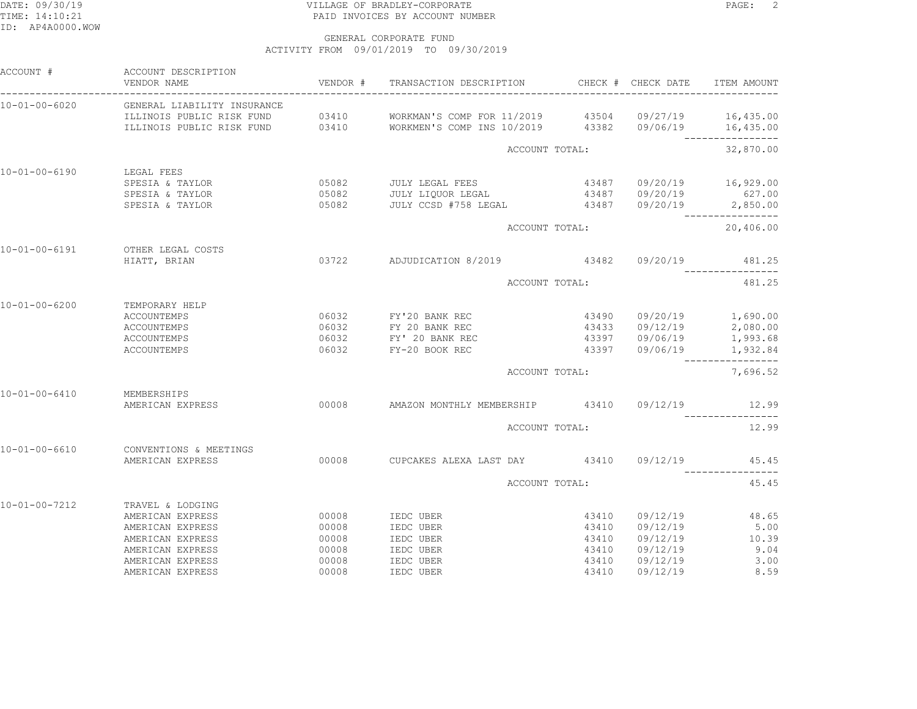## DATE: 09/30/19 PAGE: 2 TIME: 14:10:21 PAID INVOICES BY ACCOUNT NUMBER

| ACCOUNT #             | ACCOUNT DESCRIPTION<br>VENDOR NAME    | VENDOR # | TRANSACTION DESCRIPTION CHECK # CHECK DATE                                                                                                                                 |                |          | ITEM AMOUNT                              |
|-----------------------|---------------------------------------|----------|----------------------------------------------------------------------------------------------------------------------------------------------------------------------------|----------------|----------|------------------------------------------|
| 10-01-00-6020         | GENERAL LIABILITY INSURANCE           |          |                                                                                                                                                                            |                |          |                                          |
|                       |                                       |          | ILLINOIS PUBLIC RISK FUND 03410 WORKMAN'S COMP FOR 11/2019 43504 09/27/19 16,435.00<br>ILLINOIS PUBLIC RISK FUND 03410 WORKMEN'S COMP INS 10/2019 43382 09/06/19 16,435.00 |                |          |                                          |
|                       |                                       |          |                                                                                                                                                                            |                |          | ----------------                         |
|                       |                                       |          | ACCOUNT TOTAL:                                                                                                                                                             |                |          | 32,870.00                                |
| $10 - 01 - 00 - 6190$ | LEGAL FEES                            |          |                                                                                                                                                                            |                |          |                                          |
|                       | SPESIA & TAYLOR                       |          | 05082 JULY LEGAL FEES                                                                                                                                                      | 43487          |          | 09/20/19 16,929.00                       |
|                       | SPESIA & TAYLOR                       |          | 05082 JULY LIQUOR LEGAL                                                                                                                                                    |                |          | 43487 09/20/19 627.00                    |
|                       | SPESIA & TAYLOR                       | 05082    | JULY CCSD #758 LEGAL 43487                                                                                                                                                 |                |          | $09/20/19$ 2,850.00                      |
|                       |                                       |          |                                                                                                                                                                            | ACCOUNT TOTAL: |          | 20,406.00                                |
| 10-01-00-6191         | OTHER LEGAL COSTS                     |          |                                                                                                                                                                            |                |          |                                          |
|                       | HIATT, BRIAN                          |          | 03722 ADJUDICATION 8/2019 43482 09/20/19 481.25                                                                                                                            |                |          |                                          |
|                       |                                       |          |                                                                                                                                                                            | ACCOUNT TOTAL: |          | 481.25                                   |
| 10-01-00-6200         | TEMPORARY HELP                        |          |                                                                                                                                                                            |                |          |                                          |
|                       | <b>ACCOUNTEMPS</b>                    | 06032    | FY'20 BANK REC                                                                                                                                                             | 43490          |          | 09/20/19 1,690.00                        |
|                       | ACCOUNTEMPS                           | 06032    | FY 20 BANK REC                                                                                                                                                             | 43433          | 09/12/19 | 2,080.00                                 |
|                       | ACCOUNTEMPS                           |          | 06032 FY' 20 BANK REC                                                                                                                                                      | 43397          |          | $09/12/19$ 2,000.00<br>09/06/19 1,993.68 |
|                       | ACCOUNTEMPS                           | 06032    | FY-20 BOOK REC                                                                                                                                                             | 43397          |          | 09/06/19 1,932.84                        |
|                       |                                       |          | ACCOUNT TOTAL:                                                                                                                                                             |                |          | 7,696.52                                 |
|                       |                                       |          |                                                                                                                                                                            |                |          |                                          |
| 10-01-00-6410         | MEMBERSHIPS<br>AMERICAN EXPRESS 00008 |          | AMAZON MONTHLY MEMBERSHIP 43410 09/12/19 12.99                                                                                                                             |                |          |                                          |
|                       |                                       |          |                                                                                                                                                                            |                |          |                                          |
|                       |                                       |          | ACCOUNT TOTAL:                                                                                                                                                             |                |          | 12.99                                    |
| $10 - 01 - 00 - 6610$ | CONVENTIONS & MEETINGS                |          |                                                                                                                                                                            |                |          |                                          |
|                       | AMERICAN EXPRESS                      |          | 00008 CUPCAKES ALEXA LAST DAY 43410 09/12/19                                                                                                                               |                |          | 45.45                                    |
|                       |                                       |          | ACCOUNT TOTAL:                                                                                                                                                             |                |          | 45.45                                    |
| 10-01-00-7212         | TRAVEL & LODGING                      |          |                                                                                                                                                                            |                |          |                                          |
|                       | AMERICAN EXPRESS                      | 00008    | IEDC UBER                                                                                                                                                                  | 43410          | 09/12/19 | 48.65                                    |
|                       | AMERICAN EXPRESS                      | 00008    | IEDC UBER                                                                                                                                                                  | 43410          | 09/12/19 | 5.00                                     |
|                       | AMERICAN EXPRESS                      | 00008    | IEDC UBER                                                                                                                                                                  | 43410          | 09/12/19 | 10.39                                    |
|                       | AMERICAN EXPRESS                      | 00008    | IEDC UBER                                                                                                                                                                  | 43410          | 09/12/19 | 9.04                                     |
|                       | AMERICAN EXPRESS                      | 00008    | IEDC UBER                                                                                                                                                                  | 43410          | 09/12/19 | 3.00                                     |
|                       | AMERICAN EXPRESS                      | 00008    | IEDC UBER                                                                                                                                                                  | 43410          | 09/12/19 | 8.59                                     |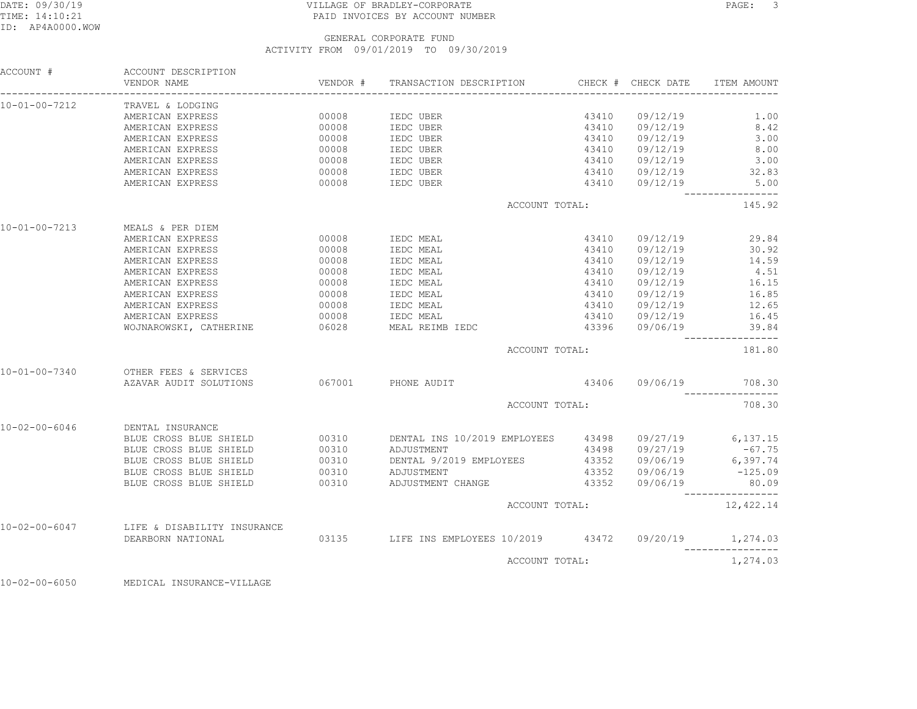# DATE: 09/30/19 PAGE: 3 PAGE: 3 TIME: 14:10:21 PAID INVOICES BY ACCOUNT NUMBER

| ACCOUNT #             | ACCOUNT DESCRIPTION<br>VENDOR NAME<br>______________________________________ | VENDOR # | TRANSACTION DESCRIPTION CHECK # CHECK DATE               |       |                                    | ITEM AMOUNT                               |
|-----------------------|------------------------------------------------------------------------------|----------|----------------------------------------------------------|-------|------------------------------------|-------------------------------------------|
| 10-01-00-7212         | TRAVEL & LODGING                                                             |          |                                                          |       |                                    |                                           |
|                       | AMERICAN EXPRESS                                                             | 00008    | IEDC UBER                                                | 43410 | 09/12/19                           | 1.00                                      |
|                       | AMERICAN EXPRESS                                                             | 00008    | IEDC UBER                                                | 43410 | 09/12/19                           | 8.42                                      |
|                       | AMERICAN EXPRESS                                                             | 00008    | IEDC UBER                                                | 43410 | 09/12/19                           | 3.00                                      |
|                       | AMERICAN EXPRESS                                                             | 00008    | IEDC UBER                                                |       | 43410  09/12/19<br>43410  09/12/19 | 8.00                                      |
|                       | AMERICAN EXPRESS                                                             | 00008    | IEDC UBER                                                |       |                                    | 3.00                                      |
|                       | AMERICAN EXPRESS                                                             | 00008    | IEDC UBER                                                |       |                                    | 43410 09/12/19 32.83                      |
|                       | AMERICAN EXPRESS                                                             | 00008    | IEDC UBER                                                |       | 43410 09/12/19                     | 5.00                                      |
|                       |                                                                              |          | ACCOUNT TOTAL:                                           |       |                                    | 145.92                                    |
| 10-01-00-7213         | MEALS & PER DIEM                                                             |          |                                                          |       |                                    |                                           |
|                       | AMERICAN EXPRESS                                                             | 00008    | IEDC MEAL                                                | 43410 | 09/12/19                           | 29.84                                     |
|                       | AMERICAN EXPRESS                                                             | 00008    | IEDC MEAL                                                | 43410 | 09/12/19                           | 30.92                                     |
|                       | AMERICAN EXPRESS                                                             | 00008    | IEDC MEAL                                                | 43410 | 09/12/19                           | 14.59                                     |
|                       | AMERICAN EXPRESS                                                             | 00008    | IEDC MEAL                                                | 43410 | 09/12/19                           | 4.51                                      |
|                       | AMERICAN EXPRESS                                                             | 00008    | IEDC MEAL                                                | 43410 | 09/12/19                           | 16.15                                     |
|                       | AMERICAN EXPRESS                                                             | 00008    | IEDC MEAL                                                |       | 43410 09/12/19                     | 16.85                                     |
|                       | AMERICAN EXPRESS                                                             | 00008    | IEDC MEAL                                                |       | 43410 09/12/19                     | 12.65                                     |
|                       | AMERICAN EXPRESS                                                             | 00008    | IEDC MEAL                                                |       | 43410 09/12/19                     | 16.45                                     |
|                       | WOJNAROWSKI, CATHERINE                                                       | 06028    | MEAL REIMB IEDC                                          |       | 43396 09/06/19                     | 39.84<br>------------                     |
|                       |                                                                              |          | ACCOUNT TOTAL:                                           |       |                                    | 181.80                                    |
| 10-01-00-7340         | OTHER FEES & SERVICES                                                        |          |                                                          |       |                                    |                                           |
|                       | AZAVAR AUDIT SOLUTIONS                                                       |          | 067001 PHONE AUDIT                                       |       |                                    | 43406 09/06/19 708.30<br>---------------- |
|                       |                                                                              |          | ACCOUNT TOTAL:                                           |       |                                    | 708.30                                    |
| 10-02-00-6046         | DENTAL INSURANCE                                                             |          |                                                          |       |                                    |                                           |
|                       | BLUE CROSS BLUE SHIELD                                                       | 00310    | DENTAL INS 10/2019 EMPLOYEES 43498 09/27/19 6,137.15     |       |                                    |                                           |
|                       | BLUE CROSS BLUE SHIELD                                                       | 00310    | ADJUSTMENT                                               |       | 43498 09/27/19                     | $-67.75$                                  |
|                       | BLUE CROSS BLUE SHIELD                                                       | 00310    | DENTAL 9/2019 EMPLOYEES 43352 09/06/19 6,397.74          |       |                                    |                                           |
|                       | BLUE CROSS BLUE SHIELD                                                       |          | 00310 ADJUSTMENT                                         |       | 43352 09/06/19                     | $-125.09$                                 |
|                       | BLUE CROSS BLUE SHIELD                                                       | 00310    | ADJUSTMENT CHANGE                                        | 43352 | 09/06/19                           | 80.09<br>----------------                 |
|                       |                                                                              |          | ACCOUNT TOTAL:                                           |       |                                    | 12,422.14                                 |
| $10 - 02 - 00 - 6047$ | LIFE & DISABILITY INSURANCE                                                  |          |                                                          |       |                                    |                                           |
|                       | DEARBORN NATIONAL                                                            |          | 03135 LIFE INS EMPLOYEES 10/2019 43472 09/20/19 1,274.03 |       |                                    |                                           |
|                       |                                                                              |          | ACCOUNT TOTAL:                                           |       |                                    | 1,274.03                                  |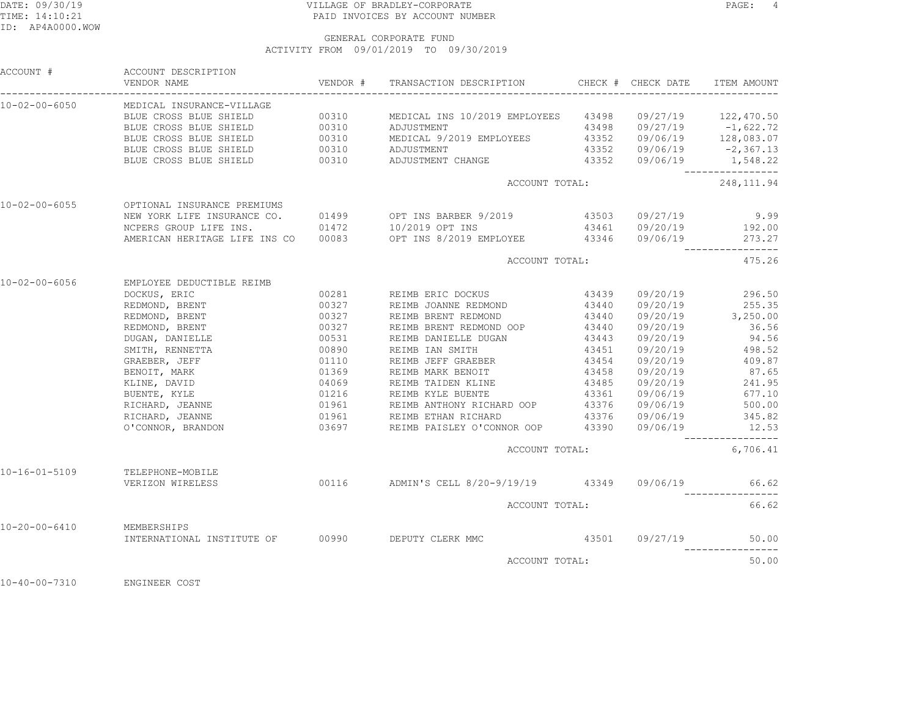# DATE: 09/30/19 PAGE: 4 TIME: 14:10:21 PAID INVOICES BY ACCOUNT NUMBER

|                           | ACCOUNT # ACCOUNT DESCRIPTION<br>VENDOR NAME | VENDOR # TRANSACTION DESCRIPTION    CHECK # CHECK DATE                                                                                                                                                                                                    |                                                                                            | ITEM AMOUNT         |
|---------------------------|----------------------------------------------|-----------------------------------------------------------------------------------------------------------------------------------------------------------------------------------------------------------------------------------------------------------|--------------------------------------------------------------------------------------------|---------------------|
| 10-02-00-6050             | MEDICAL INSURANCE-VILLAGE                    |                                                                                                                                                                                                                                                           |                                                                                            |                     |
|                           |                                              |                                                                                                                                                                                                                                                           |                                                                                            |                     |
|                           |                                              |                                                                                                                                                                                                                                                           |                                                                                            |                     |
|                           |                                              |                                                                                                                                                                                                                                                           |                                                                                            |                     |
|                           |                                              |                                                                                                                                                                                                                                                           |                                                                                            |                     |
|                           |                                              | BLUE CROSS BLUE SHIELD 00310 MEDICAL INS 10/2019 EMPLOYEES 43498 09/27/19 122,470.50<br>BLUE CROSS BLUE SHIELD 00310 ADJUSTMENT 43498 09/27/19 -1,622.72<br>BLUE CROSS BLUE SHIELD 00310 MEDICAL 9/2019 EMPLOYEES 43352 09/06/19 1                        |                                                                                            | ___________________ |
|                           |                                              | ACCOUNT TOTAL:                                                                                                                                                                                                                                            |                                                                                            | 248, 111.94         |
|                           | 10-02-00-6055 OPTIONAL INSURANCE PREMIUMS    |                                                                                                                                                                                                                                                           |                                                                                            |                     |
|                           |                                              |                                                                                                                                                                                                                                                           |                                                                                            |                     |
|                           |                                              |                                                                                                                                                                                                                                                           |                                                                                            |                     |
|                           |                                              | NEW YORK LIFE INSURANCE CO. 01499 0PT INS BARBER 9/2019 43503 09/27/19 9.99<br>NCPERS GROUP LIFE INS. 01472 10/2019 OPT INS 43461 09/20/19 192.00<br>AMERICAN HERITAGE LIFE INS CO 00083 OPT INS 8/2019 EMPLOYEE 43346 09/06/19 273.                      |                                                                                            |                     |
|                           |                                              | ACCOUNT TOTAL:                                                                                                                                                                                                                                            |                                                                                            | 475.26              |
| 10-02-00-6056             | EMPLOYEE DEDUCTIBLE REIMB                    |                                                                                                                                                                                                                                                           |                                                                                            |                     |
|                           | DOCKUS, ERIC                                 | 00281 REIMB ERIC DOCKUS 43439                                                                                                                                                                                                                             |                                                                                            | 09/20/19 296.50     |
|                           |                                              | REDMOND, BRENT<br>REDMOND, BRENT<br>REDMOND, BRENT<br>REDMOND, BRENT<br>REDMOND, BRENT<br>METH, RENNETTA<br>DUGAN, DANIELLE<br>DUGAN, DANIELLE<br>MITH, RENNETTA<br>200327<br>REIMB BRENT REDMOND<br>23440<br>REIMB BRENT REDMOND<br>23440<br>REIMB BRENT | $43440$ $09/20/19$ $255.35$<br>$43440$ $09/20/19$ $3,250.00$<br>$43440$ $09/20/19$ $36.56$ |                     |
|                           |                                              |                                                                                                                                                                                                                                                           |                                                                                            |                     |
|                           |                                              |                                                                                                                                                                                                                                                           |                                                                                            |                     |
|                           |                                              | REIMB DANIELLE DUGAN                         43443       09/20/19                     94.56<br>REIMB IAN SMITH                        43451      09/20/19                  498.52                                                                         |                                                                                            |                     |
|                           |                                              |                                                                                                                                                                                                                                                           |                                                                                            |                     |
|                           |                                              |                                                                                                                                                                                                                                                           |                                                                                            |                     |
|                           |                                              |                                                                                                                                                                                                                                                           |                                                                                            |                     |
|                           |                                              |                                                                                                                                                                                                                                                           |                                                                                            |                     |
|                           |                                              |                                                                                                                                                                                                                                                           |                                                                                            |                     |
|                           |                                              |                                                                                                                                                                                                                                                           |                                                                                            |                     |
|                           |                                              |                                                                                                                                                                                                                                                           |                                                                                            |                     |
|                           |                                              | O'CONNOR, BRANDON 63697 REIMB PAISLEY O'CONNOR OOP 43390 09/06/19 12.53                                                                                                                                                                                   |                                                                                            |                     |
|                           |                                              | ACCOUNT TOTAL:                                                                                                                                                                                                                                            |                                                                                            | 6,706.41            |
| 10-16-01-5109             | TELEPHONE-MOBILE                             |                                                                                                                                                                                                                                                           |                                                                                            |                     |
|                           |                                              | VERIZON WIRELESS 600116 ADMIN'S CELL 8/20-9/19/19 43349 09/06/19                                                                                                                                                                                          |                                                                                            | 66.62               |
|                           |                                              | ACCOUNT TOTAL:                                                                                                                                                                                                                                            |                                                                                            | 66.62               |
| 10-20-00-6410 MEMBERSHIPS |                                              | INTERNATIONAL INSTITUTE OF 00990 DEPUTY CLERK MMC 43501 09/27/19                                                                                                                                                                                          |                                                                                            |                     |
|                           |                                              |                                                                                                                                                                                                                                                           |                                                                                            | 50.00               |
|                           |                                              | ACCOUNT TOTAL:                                                                                                                                                                                                                                            |                                                                                            | 50.00               |
|                           |                                              |                                                                                                                                                                                                                                                           |                                                                                            |                     |

10-40-00-7310 ENGINEER COST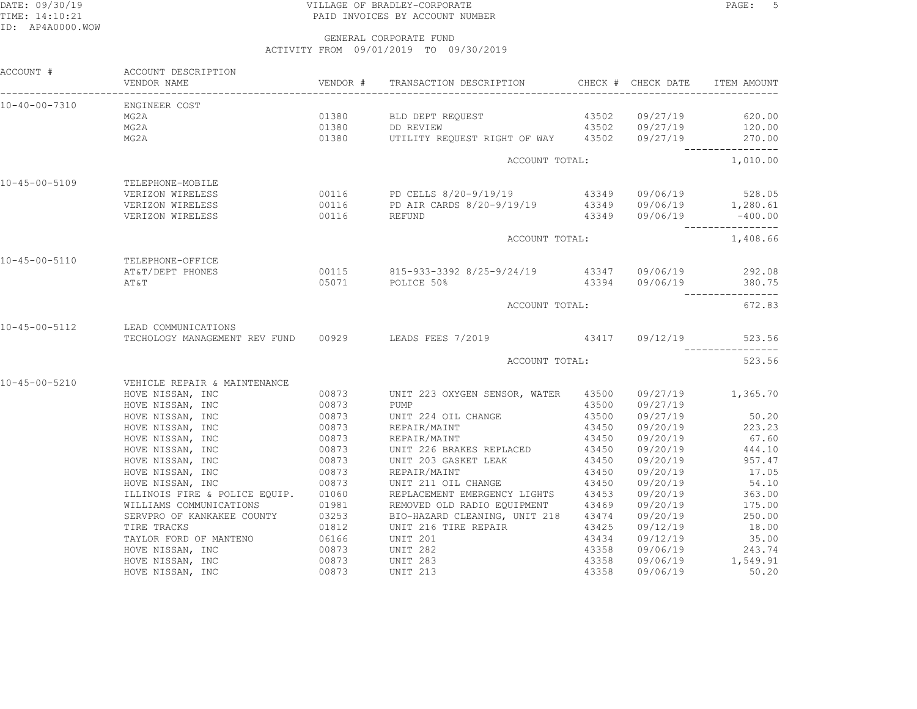## DATE: 09/30/19 PAGE: 5 PAGE: 5 TIME: 14:10:21 PAID INVOICES BY ACCOUNT NUMBER

| ACCOUNT #             | ACCOUNT DESCRIPTION<br>VENDOR NAME                     |                | VENDOR # TRANSACTION DESCRIPTION CHECK # CHECK DATE ITEM AMOUNT                                                |                |                      |                             |
|-----------------------|--------------------------------------------------------|----------------|----------------------------------------------------------------------------------------------------------------|----------------|----------------------|-----------------------------|
|                       | 10-40-00-7310 ENGINEER COST                            |                |                                                                                                                |                |                      |                             |
|                       | MG2A                                                   |                |                                                                                                                |                |                      | 620.00<br>120.00            |
|                       | MG2A                                                   |                |                                                                                                                |                |                      |                             |
|                       | MG2A                                                   |                | 01380 UTILITY REQUEST RIGHT OF WAY 43502 09/27/19 270.00                                                       |                |                      | _________________           |
|                       |                                                        |                | ACCOUNT TOTAL:                                                                                                 |                |                      | 1,010.00                    |
| 10-45-00-5109         | TELEPHONE-MOBILE                                       |                |                                                                                                                |                |                      |                             |
|                       | VERIZON WIRELESS                                       |                | 00116 PD CELLS 8/20-9/19/19 43349 09/06/19 528.05                                                              |                |                      |                             |
|                       | VERIZON WIRELESS                                       |                |                                                                                                                |                |                      |                             |
|                       | VERIZON WIRELESS                                       |                | 00116 PD AIR CARDS 8/20-9/19/19 43349 09/06/19 1,280.61<br>00116 REFUND 43349 09/06/19 -400.00                 |                |                      |                             |
|                       |                                                        |                | ACCOUNT TOTAL:                                                                                                 |                |                      | 1,408.66                    |
| 10-45-00-5110         | TELEPHONE-OFFICE                                       |                |                                                                                                                |                |                      |                             |
|                       | AT&T/DEPT PHONES                                       |                | 00115 815-933-3392 8/25-9/24/19 43347 09/06/19 292.08                                                          |                |                      |                             |
|                       | AΤ&Τ                                                   |                | 05071 POLICE 50%                                                                                               |                |                      | $43394$ $09/06/19$ $380.75$ |
|                       |                                                        |                | ACCOUNT TOTAL:                                                                                                 |                |                      | 672.83                      |
| 10-45-00-5112         | LEAD COMMUNICATIONS                                    |                |                                                                                                                |                |                      |                             |
|                       |                                                        |                | TECHOLOGY MANAGEMENT REV FUND 00929 LEADS FEES 7/2019 43417 09/12/19 523.                                      |                |                      | 523.56                      |
|                       |                                                        |                | ACCOUNT TOTAL:                                                                                                 |                |                      | 523.56                      |
| $10 - 45 - 00 - 5210$ | VEHICLE REPAIR & MAINTENANCE                           |                |                                                                                                                |                |                      |                             |
|                       | HOVE NISSAN, INC                                       |                | 00873 UNIT 223 OXYGEN SENSOR, WATER 43500 09/27/19 1,365.70                                                    |                |                      |                             |
|                       | HOVE NISSAN, INC 00873                                 |                | PUMP                                                                                                           |                | 43500 09/27/19       |                             |
|                       | HOVE NISSAN, INC                                       | 00873          | UNIT 224 OIL CHANGE 43500                                                                                      |                | 09/27/19             | 50.20                       |
|                       | HOVE NISSAN, INC                                       | 00873          | REPAIR/MAINT                                                                                                   |                | 43450 09/20/19       | 223.23                      |
|                       | HOVE NISSAN, INC                                       |                | 00873 REPAIR/MAINT                                                                                             | 43450          | 09/20/19             | 67.60                       |
|                       | HOVE NISSAN, INC                                       |                |                                                                                                                |                | 09/20/19             | 444.10                      |
|                       | HOVE NISSAN, INC                                       | 00873<br>00873 | UNIT 226 BRAKES REPLACED<br>UNIT 203 GASKET LEAK                                                               | 43450<br>43450 | 09/20/19             | 957.47                      |
|                       | HOVE NISSAN, INC                                       | 00873          | REPAIR/MAINT                                                                                                   |                | 09/20/19             | 17.05                       |
|                       | HOVE NISSAN, INC                                       | 00873<br>00873 | UNIT 211 OIL CHANGE                                                                                            | 43450<br>43450 | 09/20/19             | 54.10                       |
|                       | ILLINOIS FIRE & POLICE EQUIP. 01060                    |                | REPLACEMENT EMERGENCY LIGHTS 43453                                                                             |                |                      | 09/20/19 363.00             |
|                       |                                                        |                |                                                                                                                |                |                      | $09/20/19$ 175.00           |
|                       |                                                        |                | WILLIAMS COMMUNICATIONS<br>SERVPRO OF KANKAKEE COUNTY 03253 BIO-HAZARD CLEANING, UNIT 218 43469<br>TIPE TRACKS |                | 09/20/19             | 250.00                      |
|                       | TIRE TRACKS                                            | 01812          | UNIT 216 TIRE REPAIR 43425                                                                                     |                | 09/12/19             | 18.00                       |
|                       | TAYLOR FORD OF MANTENO 06166<br>HOVE NISSAN, INC 00873 |                |                                                                                                                | 43434          |                      | 35.00                       |
|                       |                                                        |                | UNIT ZUI<br>UNIT 282                                                                                           | 43358          | 09/12/19<br>09/06/19 | 243.74                      |
|                       | HOVE NISSAN, INC                                       |                | 00873 UNIT 283<br>00873 UNIT 213                                                                               | 43358          |                      | 09/06/19 1,549.91           |
|                       | HOVE NISSAN, INC                                       |                | <b>UNIT 213</b>                                                                                                | 43358          | 09/06/19             | 50.20                       |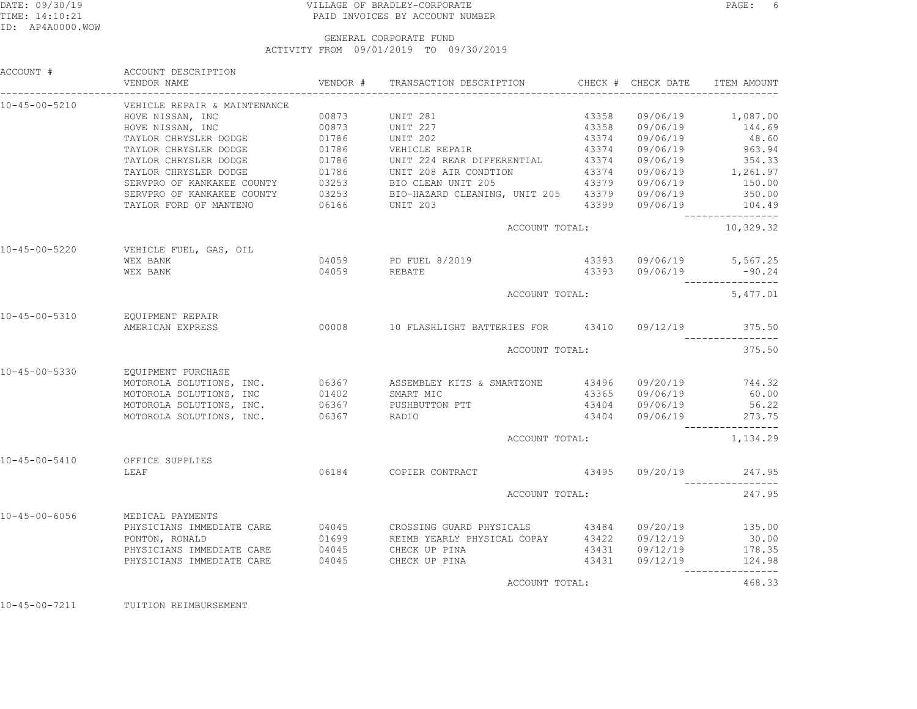# DATE: 09/30/19 PAGE: 6 TIME: 14:10:21 PAID INVOICES BY ACCOUNT NUMBER

### GENERAL CORPORATE FUNDACTIVITY FROM 09/01/2019 TO 09/30/2019

| ACCOUNT #             | ACCOUNT DESCRIPTION<br>VENDOR NAME            |              | VENDOR # TRANSACTION DESCRIPTION CHECK # CHECK DATE                                                                                                                                                                                  |                |                | ITEM AMOUNT                                |
|-----------------------|-----------------------------------------------|--------------|--------------------------------------------------------------------------------------------------------------------------------------------------------------------------------------------------------------------------------------|----------------|----------------|--------------------------------------------|
| $10 - 45 - 00 - 5210$ | VEHICLE REPAIR & MAINTENANCE                  |              |                                                                                                                                                                                                                                      |                |                |                                            |
|                       | HOVE NISSAN, INC                              | 00873        | UNIT 281                                                                                                                                                                                                                             | 43358          |                | $09/06/19$ 1,087.00                        |
|                       | HOVE NISSAN, INC                              | 00873        | UNIT 227                                                                                                                                                                                                                             |                | 43358 09/06/19 | 144.69                                     |
|                       |                                               |              |                                                                                                                                                                                                                                      |                |                |                                            |
|                       |                                               |              |                                                                                                                                                                                                                                      |                |                |                                            |
|                       |                                               |              |                                                                                                                                                                                                                                      |                |                |                                            |
|                       |                                               |              |                                                                                                                                                                                                                                      |                |                |                                            |
|                       |                                               |              |                                                                                                                                                                                                                                      |                |                |                                            |
|                       |                                               |              |                                                                                                                                                                                                                                      |                |                |                                            |
|                       |                                               |              | TAYLOR CHRYSLER DODGE 01786 UNIT 202<br>TAYLOR CHRYSLER DODGE 01786 UNIT 202<br>TAYLOR CHRYSLER DODGE 01786 UNIT 224 REAR DIFFERENTIAL 43374 09/06/19 963.94<br>TAYLOR CHRYSLER DODGE 01786 UNIT 224 REAR DIFFERENTIAL 43374 09/06/1 |                |                |                                            |
|                       |                                               |              | ACCOUNT TOTAL:                                                                                                                                                                                                                       |                |                | -----------------<br>10,329.32             |
| 10-45-00-5220         | VEHICLE FUEL, GAS, OIL                        |              |                                                                                                                                                                                                                                      |                |                |                                            |
|                       | WEX BANK                                      |              | 04059 PD FUEL 8/2019                                                                                                                                                                                                                 |                |                | 43393 09/06/19 5,567.25                    |
|                       | WEX BANK                                      | 04059 REBATE |                                                                                                                                                                                                                                      |                |                | 43393 09/06/19 -90.24                      |
|                       |                                               |              | ACCOUNT TOTAL:                                                                                                                                                                                                                       |                |                | 5,477.01                                   |
| 10-45-00-5310         | EQUIPMENT REPAIR                              |              |                                                                                                                                                                                                                                      |                |                |                                            |
|                       | AMERICAN EXPRESS                              |              | 00008 10 FLASHLIGHT BATTERIES FOR 43410 09/12/19 375.50                                                                                                                                                                              |                |                | ________________                           |
|                       |                                               |              | ACCOUNT TOTAL:                                                                                                                                                                                                                       |                |                | 375.50                                     |
| 10-45-00-5330         | EQUIPMENT PURCHASE                            |              |                                                                                                                                                                                                                                      |                |                |                                            |
|                       |                                               |              |                                                                                                                                                                                                                                      |                |                |                                            |
|                       |                                               |              | MOTOROLA SOLUTIONS, INC. 66367 ASSEMBLEY KITS & SMARTZONE 43496 09/20/19 744.32                                                                                                                                                      |                |                |                                            |
|                       |                                               |              |                                                                                                                                                                                                                                      |                | 43404 09/06/19 | 56.22                                      |
|                       | MOTOROLA SOLUTIONS, INC. 06367 PUSHBUTTON PTT |              |                                                                                                                                                                                                                                      |                |                |                                            |
|                       | MOTOROLA SOLUTIONS, INC.                      | 06367        | RADIO                                                                                                                                                                                                                                |                |                | 43404 09/06/19 273.75<br>----------------- |
|                       |                                               |              | ACCOUNT TOTAL:                                                                                                                                                                                                                       |                |                | 1,134.29                                   |
| $10 - 45 - 00 - 5410$ | OFFICE SUPPLIES                               |              |                                                                                                                                                                                                                                      |                |                |                                            |
|                       | LEAF                                          |              | 06184 COPIER CONTRACT                                                                                                                                                                                                                |                |                | 247.95                                     |
|                       |                                               |              |                                                                                                                                                                                                                                      | ACCOUNT TOTAL: |                | 247.95                                     |
| $10 - 45 - 00 - 6056$ | MEDICAL PAYMENTS                              |              |                                                                                                                                                                                                                                      |                |                |                                            |
|                       |                                               |              | PHYSICIANS IMMEDIATE CARE 04045 CROSSING GUARD PHYSICALS 43484 09/20/19 135.00                                                                                                                                                       |                |                |                                            |
|                       |                                               |              |                                                                                                                                                                                                                                      |                |                | 30.00                                      |
|                       |                                               |              |                                                                                                                                                                                                                                      |                |                | 178.35                                     |
|                       |                                               |              |                                                                                                                                                                                                                                      |                |                | 124.98                                     |
|                       |                                               |              | ACCOUNT TOTAL:                                                                                                                                                                                                                       |                |                | -----------------<br>468.33                |
|                       |                                               |              |                                                                                                                                                                                                                                      |                |                |                                            |

10-45-00-7211 TUITION REIMBURSEMENT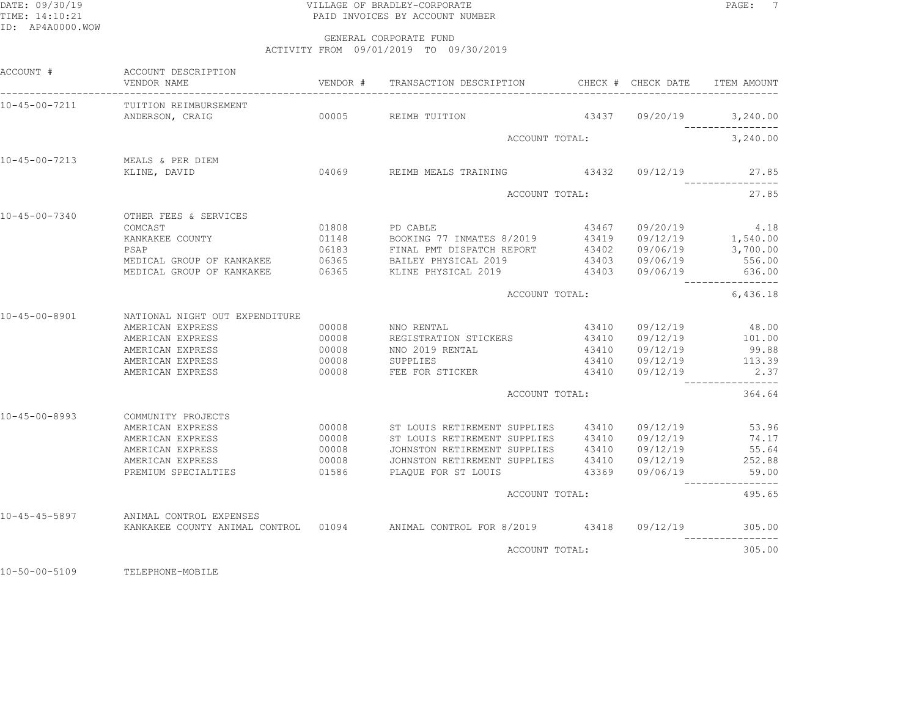# DATE: 09/30/19 PAGE: 7 TIME: 14:10:21 PAID INVOICES BY ACCOUNT NUMBER

 GENERAL CORPORATE FUNDACTIVITY FROM 09/01/2019 TO 09/30/2019

| ACCOUNT #             | ACCOUNT DESCRIPTION<br>VENDOR NAME                                                                                                                                                                                          |                | VENDOR # TRANSACTION DESCRIPTION                                                |  | CHECK # CHECK DATE      | ITEM AMOUNT      |
|-----------------------|-----------------------------------------------------------------------------------------------------------------------------------------------------------------------------------------------------------------------------|----------------|---------------------------------------------------------------------------------|--|-------------------------|------------------|
| 10-45-00-7211         | TUITION REIMBURSEMENT                                                                                                                                                                                                       |                | 00005 REIMB TUITION                                                             |  |                         |                  |
|                       | ANDERSON, CRAIG                                                                                                                                                                                                             |                |                                                                                 |  | 43437 09/20/19 3,240.00 |                  |
|                       |                                                                                                                                                                                                                             |                | ACCOUNT TOTAL:                                                                  |  |                         | 3,240.00         |
| $10 - 45 - 00 - 7213$ | MEALS & PER DIEM                                                                                                                                                                                                            |                |                                                                                 |  |                         |                  |
|                       | KLINE, DAVID                                                                                                                                                                                                                |                | 04069 REIMB MEALS TRAINING 43432 09/12/19 27.85                                 |  |                         | ________________ |
|                       |                                                                                                                                                                                                                             |                | ACCOUNT TOTAL:                                                                  |  |                         | 27.85            |
| $10 - 45 - 00 - 7340$ | OTHER FEES & SERVICES                                                                                                                                                                                                       |                |                                                                                 |  |                         |                  |
|                       | COMCAST                                                                                                                                                                                                                     | 01808 PD CABLE |                                                                                 |  | 43467 09/20/19 4.18     |                  |
|                       | XANKAKEE COUNTY <b>1148</b><br>23419 09/12/19 1,540.00<br>23419 09/12/19 1,540.00<br>236183 FINAL PMT DISPATCH REPORT 43402 09/06/19 3,700.00<br>256.00 MEDICAL GROUP OF KANKAKEE 06365 BAILEY PHYSICAL 2019 43403 09/06/19 |                |                                                                                 |  |                         |                  |
|                       |                                                                                                                                                                                                                             |                |                                                                                 |  |                         |                  |
|                       |                                                                                                                                                                                                                             |                | MEDICAL GROUP OF KANKAKEE 636.00 6365 KLINE PHYSICAL 2019 43403 09/06/19 636.00 |  |                         |                  |
|                       |                                                                                                                                                                                                                             |                | ACCOUNT TOTAL:                                                                  |  |                         | 6,436.18         |
| $10 - 45 - 00 - 8901$ | NATIONAL NIGHT OUT EXPENDITURE                                                                                                                                                                                              |                |                                                                                 |  |                         |                  |
|                       | AMERICAN EXPRESS                                                                                                                                                                                                            | 00008          | NNO RENTAL                                                                      |  | 43410 09/12/19          | 48.00            |
|                       | AMERICAN EXPRESS                                                                                                                                                                                                            | 00008          | REGISTRATION STICKERS 43410 09/12/19 101.00                                     |  |                         |                  |
|                       | AMERICAN EXPRESS                                                                                                                                                                                                            | 00008          | NNO 2019 RENTAL                                                                 |  | 43410 09/12/19          | 99.88            |
|                       | AMERICAN EXPRESS                                                                                                                                                                                                            | 00008          | SUPPLIES                                                                        |  | 43410 09/12/19          | 113.39           |
|                       | AMERICAN EXPRESS                                                                                                                                                                                                            | 00008          | FEE FOR STICKER                                                                 |  | 43410 09/12/19          | 2.37             |
|                       |                                                                                                                                                                                                                             |                | ACCOUNT TOTAL:                                                                  |  |                         | 364.64           |
| $10 - 45 - 00 - 8993$ | COMMUNITY PROJECTS                                                                                                                                                                                                          |                |                                                                                 |  |                         |                  |
|                       | AMERICAN EXPRESS                                                                                                                                                                                                            | 00008          | ST LOUIS RETIREMENT SUPPLIES $43410$ $09/12/19$                                 |  |                         | 53.96            |
|                       | AMERICAN EXPRESS                                                                                                                                                                                                            | 00008          | ST LOUIS RETIREMENT SUPPLIES 43410 09/12/19                                     |  |                         | 74.17            |
|                       | AMERICAN EXPRESS                                                                                                                                                                                                            | 00008          | JOHNSTON RETIREMENT SUPPLIES 43410 09/12/19                                     |  |                         | 55.64            |
|                       | AMERICAN EXPRESS<br>PREMIUM SPECIALTIES                                                                                                                                                                                     | 00008<br>01586 | JOHNSTON RETIREMENT SUPPLIES 43410 09/12/19<br>PLAOUE FOR ST LOUIS              |  | 43369 09/06/19          | 252.88<br>59.00  |
|                       |                                                                                                                                                                                                                             |                |                                                                                 |  |                         |                  |
|                       |                                                                                                                                                                                                                             |                | ACCOUNT TOTAL:                                                                  |  |                         | 495.65           |
| $10 - 45 - 45 - 5897$ | ANIMAL CONTROL EXPENSES                                                                                                                                                                                                     |                | KANKAKEE COUNTY ANIMAL CONTROL 01094 ANIMAL CONTROL FOR 8/2019 43418 09/12/19   |  |                         | 305.00           |
|                       |                                                                                                                                                                                                                             |                | ACCOUNT TOTAL:                                                                  |  |                         | 305.00           |
|                       |                                                                                                                                                                                                                             |                |                                                                                 |  |                         |                  |

10-50-00-5109 TELEPHONE-MOBILE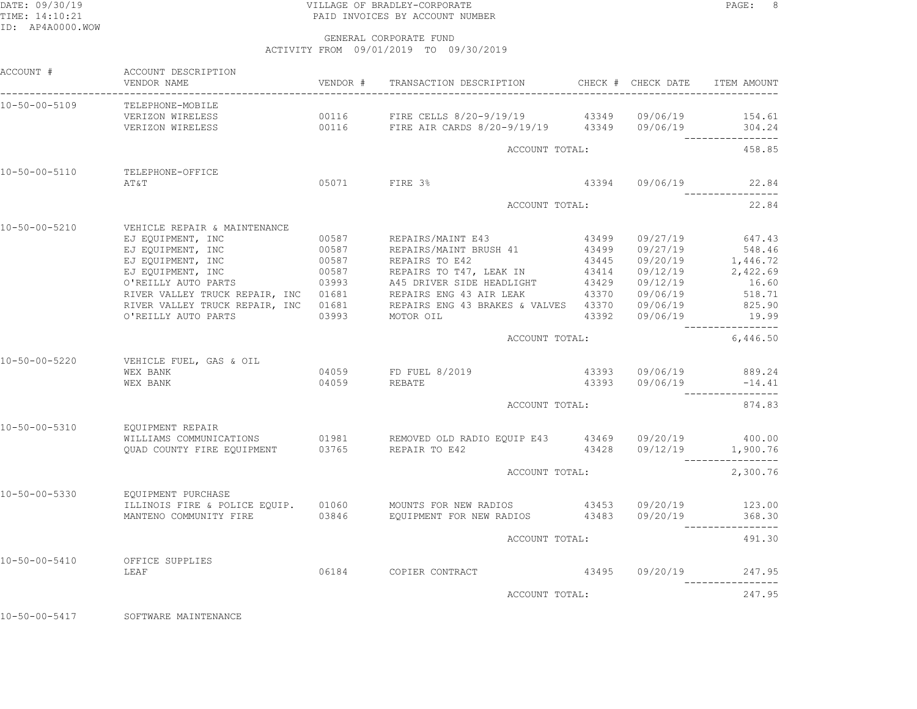# DATE: 09/30/19 PAGE: 8 TIME: 14:10:21 PAID INVOICES BY ACCOUNT NUMBER

GENERAL CORPORATE FUND

ACTIVITY FROM 09/01/2019 TO 09/30/2019

| ACCOUNT #                      | ACCOUNT DESCRIPTION<br>VENDOR NAME                                                                                              |       |                                                                                                                                                                                                                                                                                                                                                                                                                                                                                                                                                                                   |                |                                                                  |
|--------------------------------|---------------------------------------------------------------------------------------------------------------------------------|-------|-----------------------------------------------------------------------------------------------------------------------------------------------------------------------------------------------------------------------------------------------------------------------------------------------------------------------------------------------------------------------------------------------------------------------------------------------------------------------------------------------------------------------------------------------------------------------------------|----------------|------------------------------------------------------------------|
|                                | 10-50-00-5109 TELEPHONE-MOBILE<br>VERIZON WIRELESS<br>VERIZON WIRELESS 600116 FIRE AIR CARDS 8/20-9/19/19 43349 09/06/19 304.24 |       | 00116 FIRE CELLS 8/20-9/19/19 43349 09/06/19                                                                                                                                                                                                                                                                                                                                                                                                                                                                                                                                      |                | 154.61                                                           |
|                                |                                                                                                                                 |       | ACCOUNT TOTAL:                                                                                                                                                                                                                                                                                                                                                                                                                                                                                                                                                                    |                | 458.85                                                           |
| 10-50-00-5110                  | TELEPHONE-OFFICE<br>AT&T                                                                                                        |       | 05071 FIRE 3%                                                                                                                                                                                                                                                                                                                                                                                                                                                                                                                                                                     |                | 43394 09/06/19 22.84                                             |
|                                |                                                                                                                                 |       | ACCOUNT TOTAL:                                                                                                                                                                                                                                                                                                                                                                                                                                                                                                                                                                    |                | 22.84                                                            |
| 10-50-00-5210<br>10-50-00-5220 | VEHICLE REPAIR & MAINTENANCE<br>EJ EQUIPMENT, INC 60587 REPAIRS/MAINT E43<br>VEHICLE FUEL, GAS & OIL                            |       | EJ EQUIPMENT, INC 00587 REPAIRS/MAINT BRUSH 41 43499 09/27/19 548.46<br>EJ EQUIPMENT, INC 00587 REPAIRS TO E42 43445 09/20/19 1,446.72<br>EJ EQUIPMENT, INC 00587 REPAIRS TO T47, LEAK IN 43414 09/12/19 2,422.69<br>O'REILLY AUTO P<br>0'REILLY AUTO PARTS 03993 A45 DRIVER SIDE HEADLIGHT 43429 09/12/19 16.60<br>RIVER VALLEY TRUCK REPAIR, INC 01681 REPAIRS ENG 43 AIR LEAK 43370 09/06/19 518.71<br>RIVER VALLEY TRUCK REPAIR, INC 01681 REPAIRS ENG 43 BRAKES & VALVES 43370 09/06/19 825.90<br>O'REILLY AUTO PARTS 03993 MOTOR OIL 43392 09/06/19 19.99<br>ACCOUNT TOTAL: |                | 43499 09/27/19 647.43<br>6,446.50                                |
|                                | WEX BANK<br>WEX BANK                                                                                                            | 04059 | 04059 FD FUEL 8/2019<br><b>REBATE</b><br>ACCOUNT TOTAL:                                                                                                                                                                                                                                                                                                                                                                                                                                                                                                                           | 43393 09/06/19 | 43393 09/06/19 889.24<br>$-14.41$<br>-----------------<br>874.83 |
| 10-50-00-5310                  | EOUIPMENT REPAIR                                                                                                                |       |                                                                                                                                                                                                                                                                                                                                                                                                                                                                                                                                                                                   |                |                                                                  |
|                                | QUAD COUNTY FIRE EQUIPMENT 03765 REPAIR TO E42                                                                                  |       | WILLIAMS COMMUNICATIONS 01981 REMOVED OLD RADIO EQUIP E43 43469 09/20/19 400.00                                                                                                                                                                                                                                                                                                                                                                                                                                                                                                   |                | 43428  09/12/19  1,900.76<br>----------------                    |
|                                |                                                                                                                                 |       | ACCOUNT TOTAL:                                                                                                                                                                                                                                                                                                                                                                                                                                                                                                                                                                    |                | 2,300.76                                                         |
| $10 - 50 - 00 - 5330$          | EQUIPMENT PURCHASE                                                                                                              |       | ILLINOIS FIRE & POLICE EQUIP. 01060 MOUNTS FOR NEW RADIOS 43453 09/20/19 123.00<br>MANTENO COMMUNITY FIRE 03846 EQUIPMENT FOR NEW RADIOS 43483 09/20/19 368.30                                                                                                                                                                                                                                                                                                                                                                                                                    |                | ________________                                                 |
|                                |                                                                                                                                 |       | ACCOUNT TOTAL:                                                                                                                                                                                                                                                                                                                                                                                                                                                                                                                                                                    |                | 491.30                                                           |
| 10-50-00-5410                  | OFFICE SUPPLIES<br>LEAF                                                                                                         |       |                                                                                                                                                                                                                                                                                                                                                                                                                                                                                                                                                                                   |                | ----------------                                                 |
|                                |                                                                                                                                 |       | ACCOUNT TOTAL:                                                                                                                                                                                                                                                                                                                                                                                                                                                                                                                                                                    |                | 247.95                                                           |

10-50-00-5417 SOFTWARE MAINTENANCE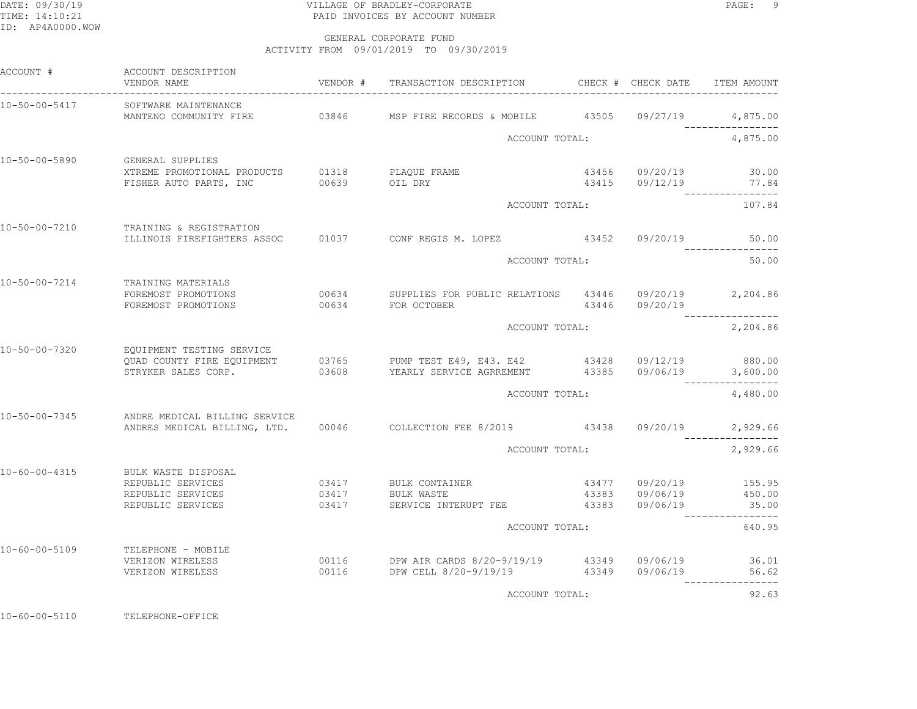# DATE: 09/30/19 PAGE: 9 PAGE: 9 TIME: 14:10:21 PAID INVOICES BY ACCOUNT NUMBER

 GENERAL CORPORATE FUNDACTIVITY FROM 09/01/2019 TO 09/30/2019

| ACCOUNT #             | ACCOUNT DESCRIPTION<br>VENDOR NAME                                                     |       | VENDOR # TRANSACTION DESCRIPTION CHECK # CHECK DATE                                                                                                  |                |                                                    | ITEM AMOUNT      |
|-----------------------|----------------------------------------------------------------------------------------|-------|------------------------------------------------------------------------------------------------------------------------------------------------------|----------------|----------------------------------------------------|------------------|
| 10-50-00-5417         | SOFTWARE MAINTENANCE                                                                   |       |                                                                                                                                                      |                |                                                    |                  |
|                       |                                                                                        |       |                                                                                                                                                      |                |                                                    |                  |
|                       |                                                                                        |       | ACCOUNT TOTAL:                                                                                                                                       |                |                                                    | 4,875.00         |
| 10-50-00-5890         | GENERAL SUPPLIES                                                                       |       |                                                                                                                                                      |                |                                                    |                  |
|                       | XTREME PROMOTIONAL PRODUCTS 01318 PLAQUE FRAME<br>FISHER AUTO PARTS, INC 00639 OIL DRY |       |                                                                                                                                                      |                | 43456 09/20/19 30.00<br>43415 09/12/19 77.84       |                  |
|                       |                                                                                        |       |                                                                                                                                                      |                |                                                    | ________________ |
|                       |                                                                                        |       | ACCOUNT TOTAL:                                                                                                                                       |                |                                                    | 107.84           |
| $10 - 50 - 00 - 7210$ | TRAINING & REGISTRATION                                                                |       |                                                                                                                                                      |                |                                                    |                  |
|                       |                                                                                        |       | ILLINOIS FIREFIGHTERS ASSOC 601037 CONF REGIS M. LOPEZ 43452 09/20/19 50.00                                                                          |                |                                                    |                  |
|                       |                                                                                        |       |                                                                                                                                                      | ACCOUNT TOTAL: |                                                    |                  |
| $10 - 50 - 00 - 7214$ | TRAINING MATERIALS                                                                     |       |                                                                                                                                                      |                |                                                    |                  |
|                       | FOREMOST PROMOTIONS                                                                    |       | 00634 SUPPLIES FOR PUBLIC RELATIONS 43446 09/20/19 2,204.86                                                                                          |                |                                                    |                  |
|                       | FOREMOST PROMOTIONS                                                                    |       | 00634 FOR OCTOBER                                                                                                                                    | 43446          | 09/20/19                                           |                  |
|                       |                                                                                        |       | ACCOUNT TOTAL:                                                                                                                                       |                |                                                    | 2,204.86         |
| 10-50-00-7320         | EQUIPMENT TESTING SERVICE                                                              |       |                                                                                                                                                      |                |                                                    |                  |
|                       |                                                                                        |       |                                                                                                                                                      |                |                                                    |                  |
|                       |                                                                                        |       | - 2011-12-12 PUMP TEST E49, E43. E42 43428 09/12/19 880.00<br>2012 QUAD COUNTY FIRE EQUIPMENT 03608 YEARLY SERVICE AGRREMENT 43385 09/06/19 3,600.00 |                |                                                    |                  |
|                       |                                                                                        |       | ACCOUNT TOTAL:                                                                                                                                       |                |                                                    | 4,480.00         |
| $10 - 50 - 00 - 7345$ | ANDRE MEDICAL BILLING SERVICE                                                          |       |                                                                                                                                                      |                |                                                    |                  |
|                       |                                                                                        |       | ANDRES MEDICAL BILLING, LTD. 00046 COLLECTION FEE 8/2019 43438 09/20/19 2,929.66                                                                     |                |                                                    |                  |
|                       |                                                                                        |       | ACCOUNT TOTAL:                                                                                                                                       |                |                                                    | 2,929.66         |
|                       |                                                                                        |       |                                                                                                                                                      |                |                                                    |                  |
| $10 - 60 - 00 - 4315$ | BULK WASTE DISPOSAL                                                                    |       |                                                                                                                                                      |                |                                                    |                  |
|                       | REPUBLIC SERVICES<br>REPUBLIC SERVICES                                                 | 03417 | 03417 BULK CONTAINER<br>BULK WASTE                                                                                                                   |                | 43477  09/20/19  155.95                            |                  |
|                       | REPUBLIC SERVICES                                                                      | 03417 | SERVICE INTERUPT FEE 43383                                                                                                                           |                | 43383          09/06/19<br>43383          09/06/19 | 450.00<br>35.00  |
|                       |                                                                                        |       |                                                                                                                                                      |                |                                                    |                  |
|                       |                                                                                        |       | ACCOUNT TOTAL:                                                                                                                                       |                |                                                    | 640.95           |
| $10 - 60 - 00 - 5109$ | TELEPHONE - MOBILE                                                                     |       |                                                                                                                                                      |                |                                                    |                  |
|                       | VERIZON WIRELESS<br>VERIZON WIRELESS                                                   |       |                                                                                                                                                      |                |                                                    | 36.01<br>56.62   |
|                       |                                                                                        |       |                                                                                                                                                      |                |                                                    |                  |
|                       |                                                                                        |       | ACCOUNT TOTAL:                                                                                                                                       |                |                                                    | 92.63            |

10-60-00-5110 TELEPHONE-OFFICE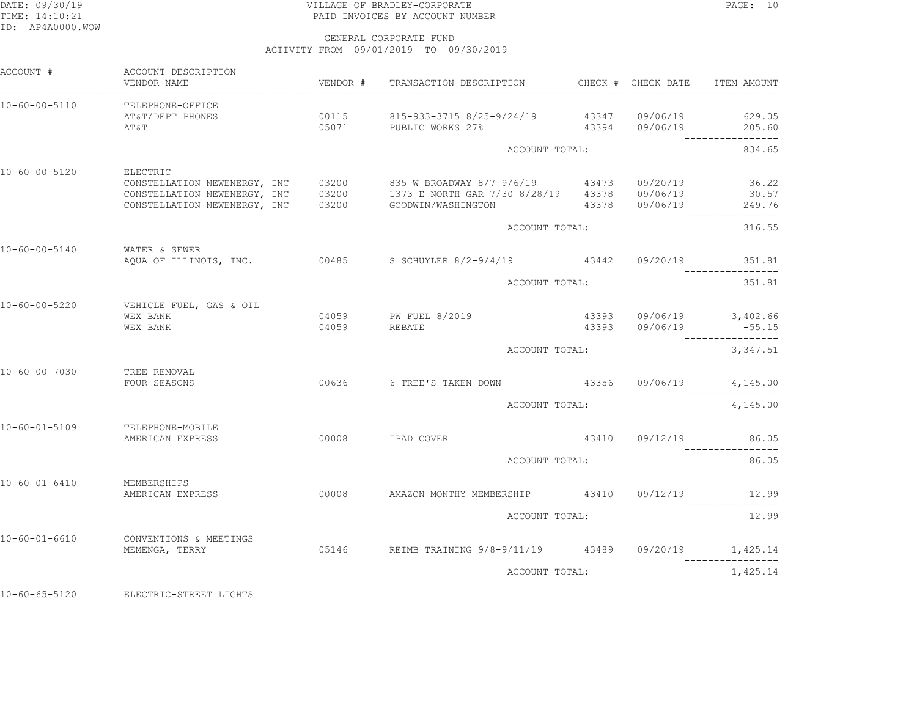## DATE: 09/30/19 PAGE: 10 TIME: 14:10:21 PAID INVOICES BY ACCOUNT NUMBER

GENERAL CORPORATE FUND

ACTIVITY FROM 09/01/2019 TO 09/30/2019

| ACCOUNT #             | ACCOUNT DESCRIPTION<br>VENDOR NAME                            | VENDOR # TRANSACTION DESCRIPTION                                                                                                                                                           |          | CHECK # CHECK DATE      | ITEM AMOUNT                        |
|-----------------------|---------------------------------------------------------------|--------------------------------------------------------------------------------------------------------------------------------------------------------------------------------------------|----------|-------------------------|------------------------------------|
| 10-60-00-5110         | TELEPHONE-OFFICE<br>AT&T/DEPT PHONES<br>AT&T                  | $00115$ 815-933-3715 8/25-9/24/19 43347 09/06/19<br>05071 PUBLIC WORKS 27% 43394 09/06/19                                                                                                  |          |                         | 629.05<br>205.60                   |
|                       |                                                               | ACCOUNT TOTAL:                                                                                                                                                                             |          |                         | 834.65                             |
| 10-60-00-5120         | ELECTRIC<br>CONSTELLATION NEWENERGY, INC                      | CONSTELLATION NEWENERGY, INC 03200 835 W BROADWAY 8/7-9/6/19 43473 09/20/19<br>CONSTELLATION NEWENERGY, INC 03200 1373 E NORTH GAR 7/30-8/28/19 43378 09/06/19<br>03200 GOODWIN/WASHINGTON |          | 43378  09/06/19  249.76 | 36.22<br>30.57<br>---------------- |
|                       |                                                               | ACCOUNT TOTAL:                                                                                                                                                                             |          |                         | 316.55                             |
|                       | 10-60-00-5140 WATER & SEWER                                   | AQUA OF ILLINOIS, INC. 00485 S SCHUYLER 8/2-9/4/19 43442 09/20/19 351.81                                                                                                                   |          |                         |                                    |
|                       |                                                               | ACCOUNT TOTAL:                                                                                                                                                                             |          |                         | 351.81                             |
|                       | 10-60-00-5220 VEHICLE FUEL, GAS & OIL<br>WEX BANK<br>WEX BANK | 04059 PW FUEL 8/2019<br>04059 REBATE                                                                                                                                                       |          |                         | $-55.15$                           |
|                       |                                                               | ACCOUNT TOTAL:                                                                                                                                                                             | 3,347.51 |                         |                                    |
| 10-60-00-7030         | TREE REMOVAL<br>FOUR SEASONS                                  | 00636 6 TREE'S TAKEN DOWN 43356 09/06/19 4,145.00                                                                                                                                          |          |                         |                                    |
|                       |                                                               | ACCOUNT TOTAL:                                                                                                                                                                             |          |                         | 4,145.00                           |
| 10-60-01-5109         | TELEPHONE-MOBILE<br>AMERICAN EXPRESS                          | 00008 IPAD COVER                                                                                                                                                                           |          | 43410 09/12/19          | 86.05                              |
|                       |                                                               | ACCOUNT TOTAL:                                                                                                                                                                             |          |                         | 86.05                              |
| 10-60-01-6410         | MEMBERSHIPS                                                   | AMERICAN EXPRESS 600008 AMAZON MONTHY MEMBERSHIP 43410 09/12/19                                                                                                                            |          |                         | 12.99                              |
|                       |                                                               | ACCOUNT TOTAL:                                                                                                                                                                             |          |                         | 12.99                              |
| $10 - 60 - 01 - 6610$ | CONVENTIONS & MEETINGS<br>MEMENGA, TERRY                      | 05146 REIMB TRAINING 9/8-9/11/19 43489 09/20/19 1,425.14                                                                                                                                   |          |                         |                                    |
|                       |                                                               | ACCOUNT TOTAL:                                                                                                                                                                             |          |                         | 1,425.14                           |
|                       |                                                               |                                                                                                                                                                                            |          |                         |                                    |

10-60-65-5120 ELECTRIC-STREET LIGHTS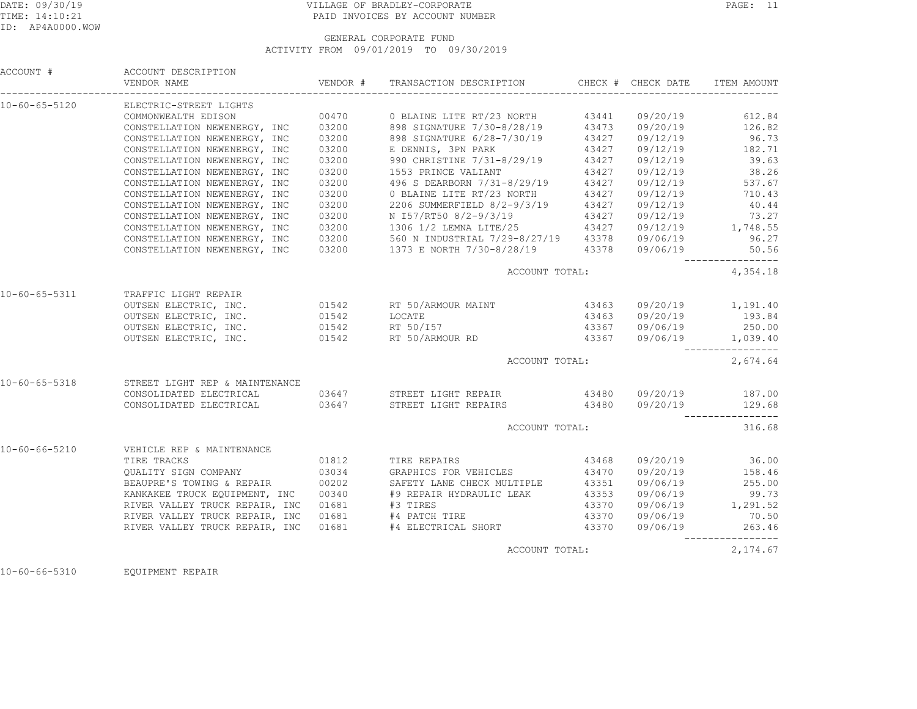# DATE: 09/30/19 PAGE: 11 TIME: 14:10:21 PAID INVOICES BY ACCOUNT NUMBER

 GENERAL CORPORATE FUNDACTIVITY FROM 09/01/2019 TO 09/30/2019

| ACCOUNT #             | ACCOUNT DESCRIPTION                         |       |                                                                                                                                                                                                                                    |       |                                    | ITEM AMOUNT                                           |
|-----------------------|---------------------------------------------|-------|------------------------------------------------------------------------------------------------------------------------------------------------------------------------------------------------------------------------------------|-------|------------------------------------|-------------------------------------------------------|
| 10-60-65-5120         | ELECTRIC-STREET LIGHTS                      |       |                                                                                                                                                                                                                                    |       |                                    |                                                       |
|                       | COMMONWEALTH EDISON                         |       | 00470 0 BLAINE LITE RT/23 NORTH 43441 09/20/19                                                                                                                                                                                     |       |                                    | 612.84                                                |
|                       |                                             |       | CONSTELLATION NEWENERGY, INC 03200 898 SIGNATURE 7/30-8/28/19 43473 09/20/19 126.82<br>CONSTELLATION NEWENERGY, INC 03200 898 SIGNATURE 6/28-7/30/19 43427 09/12/19 96.73<br>CONSTELLATION NEWENERGY, INC 03200 E DENNIS, 3PN PARK |       |                                    |                                                       |
|                       |                                             |       |                                                                                                                                                                                                                                    |       |                                    |                                                       |
|                       |                                             |       |                                                                                                                                                                                                                                    |       |                                    |                                                       |
|                       | CONSTELLATION NEWENERGY, INC                | 03200 | 990 CHRISTINE 7/31-8/29/19 43427                                                                                                                                                                                                   |       | 09/12/19                           | 39.63                                                 |
|                       | CONSTELLATION NEWENERGY, INC                | 03200 |                                                                                                                                                                                                                                    |       |                                    | 38.26<br>09/12/19 38.26<br>09/12/19 537.67            |
|                       | CONSTELLATION NEWENERGY, INC                | 03200 |                                                                                                                                                                                                                                    |       |                                    |                                                       |
|                       | CONSTELLATION NEWENERGY, INC                | 03200 | 0 BLAINE LITE RT/23 NORTH                                                                                                                                                                                                          | 43427 |                                    | 09/12/19 710.43                                       |
|                       | CONSTELLATION NEWENERGY, INC                | 03200 | 2206 SUMMERFIELD 8/2-9/3/19 43427<br>N 157/RT50 8/2-9/3/19 43427                                                                                                                                                                   |       | 09/12/19<br>09/12/19               | 40.44                                                 |
|                       | CONSTELLATION NEWENERGY, INC                | 03200 |                                                                                                                                                                                                                                    |       |                                    | 73.27                                                 |
|                       | CONSTELLATION NEWENERGY, INC                | 03200 | 1306 1/2 LEMNA LITE/25 43427 09/12/19 1,748.55                                                                                                                                                                                     |       |                                    |                                                       |
|                       |                                             |       |                                                                                                                                                                                                                                    |       |                                    | 96.27                                                 |
|                       |                                             |       | CONSTELLATION NEWENERGY, INC 03200 560 N INDUSTRIAL 7/29-8/27/19 43378 09/06/19<br>CONSTELLATION NEWENERGY, INC 03200 1373 E NORTH 7/30-8/28/19 43378 09/06/19                                                                     |       |                                    | 50.56                                                 |
|                       |                                             |       | ACCOUNT TOTAL:                                                                                                                                                                                                                     |       |                                    | 4,354.18                                              |
| $10 - 60 - 65 - 5311$ | TRAFFIC LIGHT REPAIR                        |       |                                                                                                                                                                                                                                    |       |                                    |                                                       |
|                       |                                             |       | OUTSEN ELECTRIC, INC. 69.1542 RT 50/ARMOUR MAINT 43463 09/20/19 1,191.40                                                                                                                                                           |       |                                    |                                                       |
|                       |                                             |       |                                                                                                                                                                                                                                    |       |                                    | 193.84                                                |
|                       |                                             |       |                                                                                                                                                                                                                                    |       | 43463  09/20/19<br>43367  09/06/19 | 250.00                                                |
|                       | OUTSEN ELECTRIC, INC. 01542 RT 50/ARMOUR RD |       |                                                                                                                                                                                                                                    |       | 43367 09/06/19 1,039.40            |                                                       |
|                       |                                             |       | ACCOUNT TOTAL:                                                                                                                                                                                                                     |       |                                    | 2,674.64                                              |
|                       |                                             |       |                                                                                                                                                                                                                                    |       |                                    |                                                       |
| 10-60-65-5318         | STREET LIGHT REP & MAINTENANCE              |       |                                                                                                                                                                                                                                    |       |                                    |                                                       |
|                       |                                             |       | CONSOLIDATED ELECTRICAL 69647 STREET LIGHT REPAIR 69/20/19 187.00 (19/20/19 187.00 CONSOLIDATED ELECTRICAL 68                                                                                                                      |       |                                    |                                                       |
|                       |                                             |       |                                                                                                                                                                                                                                    |       |                                    | _________________                                     |
|                       |                                             |       | ACCOUNT TOTAL:                                                                                                                                                                                                                     |       |                                    | 316.68                                                |
| $10 - 60 - 66 - 5210$ | VEHICLE REP & MAINTENANCE                   |       |                                                                                                                                                                                                                                    |       |                                    |                                                       |
|                       |                                             |       |                                                                                                                                                                                                                                    | 43468 |                                    | 09/20/19 36.00<br>09/20/19 158.46                     |
|                       |                                             |       |                                                                                                                                                                                                                                    |       |                                    |                                                       |
|                       | BEAUPRE'S TOWING & REPAIR 00202             |       | SAFETY LANE CHECK MULTIPLE 43351                                                                                                                                                                                                   |       | 09/06/19                           | 255.00                                                |
|                       | KANKAKEE TRUCK EQUIPMENT, INC 00340         |       | #9 REPAIR HYDRAULIC LEAK<br>#3 TIRES                                                                                                                                                                                               | 43353 |                                    |                                                       |
|                       | RIVER VALLEY TRUCK REPAIR, INC 01681        |       |                                                                                                                                                                                                                                    | 43370 |                                    |                                                       |
|                       | RIVER VALLEY TRUCK REPAIR, INC 01681        |       | #4 PATCH TIRE                                                                                                                                                                                                                      | 43370 |                                    | 09/06/19 99.73<br>09/06/19 1,291.52<br>09/06/19 70.50 |
|                       |                                             |       | RIVER VALLEY TRUCK REPAIR, INC 01681 #4 ELECTRICAL SHORT 43370                                                                                                                                                                     |       |                                    | 09/06/19 263.46                                       |
|                       |                                             |       | ACCOUNT TOTAL:                                                                                                                                                                                                                     |       |                                    | 2,174.67                                              |
|                       |                                             |       |                                                                                                                                                                                                                                    |       |                                    |                                                       |

10-60-66-5310 EQUIPMENT REPAIR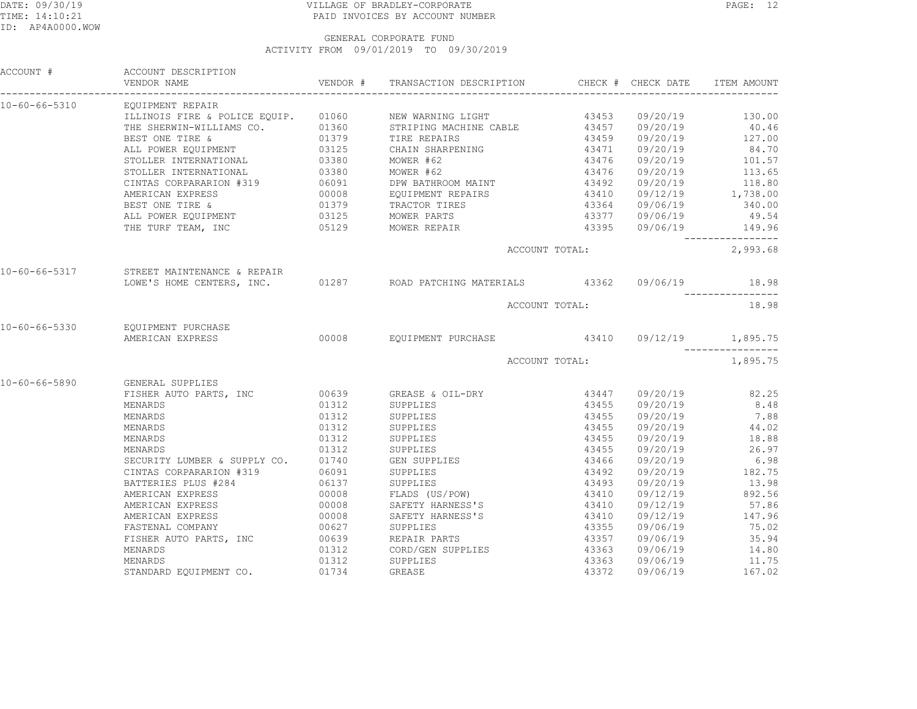## DATE: 09/30/19 PAGE: 12 TIME: 14:10:21 PAID INVOICES BY ACCOUNT NUMBER

|               | ACCOUNT # ACCOUNT DESCRIPTION                                                                                                                                                                                                                                                                                                                                                                                                |       | VENDOR # TRANSACTION DESCRIPTION CHECK # CHECK DATE ITEM AMOUNT                                                                                                                                                                                   |                                                     |                      |                                    |
|---------------|------------------------------------------------------------------------------------------------------------------------------------------------------------------------------------------------------------------------------------------------------------------------------------------------------------------------------------------------------------------------------------------------------------------------------|-------|---------------------------------------------------------------------------------------------------------------------------------------------------------------------------------------------------------------------------------------------------|-----------------------------------------------------|----------------------|------------------------------------|
| 10-60-66-5310 | EQUIPMENT REPAIR                                                                                                                                                                                                                                                                                                                                                                                                             |       |                                                                                                                                                                                                                                                   |                                                     |                      |                                    |
|               | $\begin{tabular}{l c c c c c c c c} \hline LLLINOIS FIRE & $\Phi$ POLICE EQUIP. & 01060 & NEW WARNING LIGHT & 43453 \\ \hline \texttt{THE SHERWIN-WILLIAMS CO.} & 01360 & STRIPING MACHINE CABLE & 43457 \\ \hline \texttt{BEST ONE TIRE & & 01379 & TIRE REPAIRS & 43459 \\ \texttt{ALL POWER EQUIPMENT} & 03125 & CHAIN SHARPENING & 43471 \\ \texttt{STOLLER INTERRANTIONAL} & 03380 & MOWER #62 & 43476 \\ \hline \end{$ |       |                                                                                                                                                                                                                                                   |                                                     | 09/20/19             | 130.00                             |
|               |                                                                                                                                                                                                                                                                                                                                                                                                                              |       |                                                                                                                                                                                                                                                   |                                                     | 09/20/19             | 40.46                              |
|               |                                                                                                                                                                                                                                                                                                                                                                                                                              |       |                                                                                                                                                                                                                                                   | $43459$<br>$43471$<br>$43476$<br>$43476$<br>$43492$ |                      | 09/20/19 127.00                    |
|               |                                                                                                                                                                                                                                                                                                                                                                                                                              |       |                                                                                                                                                                                                                                                   |                                                     | 09/20/19             | 84.70                              |
|               |                                                                                                                                                                                                                                                                                                                                                                                                                              |       |                                                                                                                                                                                                                                                   |                                                     |                      | 09/20/19 101.57                    |
|               | STOLLER INTERNATIONAL 03380 MOWER #62<br>CINTAS CORPARARION #319 06091 DPW BATHROOM MANERICAN EXPRESS 00008 EQUIPMENT REPAIL<br>BEST ONE TIRE & 01379 TRACTOR TIRES<br>ALL POWER EQUIPMENT 03125 MOWER PARTS                                                                                                                                                                                                                 |       | $MOWER$ #62                                                                                                                                                                                                                                       |                                                     |                      | 09/20/19 113.65<br>09/20/19 118.80 |
|               |                                                                                                                                                                                                                                                                                                                                                                                                                              |       | DPW BATHROOM MAINT                                                                                                                                                                                                                                |                                                     |                      |                                    |
|               |                                                                                                                                                                                                                                                                                                                                                                                                                              |       | EQUIPMENT REPAIRS 43410                                                                                                                                                                                                                           |                                                     |                      | $09/12/19$ 1,738.00                |
|               |                                                                                                                                                                                                                                                                                                                                                                                                                              |       | TRACTOR TIRES                                                                                                                                                                                                                                     |                                                     |                      | 340.00                             |
|               |                                                                                                                                                                                                                                                                                                                                                                                                                              |       |                                                                                                                                                                                                                                                   |                                                     |                      | 49.54                              |
|               | THE TURF TEAM, INC 05129 MOWER REPAIR                                                                                                                                                                                                                                                                                                                                                                                        |       |                                                                                                                                                                                                                                                   |                                                     |                      | 43395 09/06/19 149.96              |
|               |                                                                                                                                                                                                                                                                                                                                                                                                                              |       |                                                                                                                                                                                                                                                   | ACCOUNT TOTAL:                                      |                      | 2,993.68                           |
|               | 10-60-66-5317 STREET MAINTENANCE & REPAIR                                                                                                                                                                                                                                                                                                                                                                                    |       |                                                                                                                                                                                                                                                   |                                                     |                      |                                    |
|               | LOWE'S HOME CENTERS, INC. 01287 ROAD PATCHING MATERIALS 43362 09/06/19 18.98                                                                                                                                                                                                                                                                                                                                                 |       |                                                                                                                                                                                                                                                   |                                                     |                      |                                    |
|               |                                                                                                                                                                                                                                                                                                                                                                                                                              |       |                                                                                                                                                                                                                                                   | ACCOUNT TOTAL:                                      |                      | 18.98                              |
| 10-60-66-5330 | EQUIPMENT PURCHASE                                                                                                                                                                                                                                                                                                                                                                                                           |       |                                                                                                                                                                                                                                                   |                                                     |                      |                                    |
|               | EQUITERNIT FUNCTIONS<br>AMERICAN EXPRESS 600008 EQUIPMENT PURCHASE 43410 09/12/19 1,895.75                                                                                                                                                                                                                                                                                                                                   |       |                                                                                                                                                                                                                                                   |                                                     |                      |                                    |
|               |                                                                                                                                                                                                                                                                                                                                                                                                                              |       |                                                                                                                                                                                                                                                   | ACCOUNT TOTAL:                                      |                      | 1,895.75                           |
| 10-60-66-5890 | GENERAL SUPPLIES                                                                                                                                                                                                                                                                                                                                                                                                             |       |                                                                                                                                                                                                                                                   |                                                     |                      |                                    |
|               | FISHER AUTO PARTS, INC 00639 GREASE & OIL-DRY                                                                                                                                                                                                                                                                                                                                                                                |       |                                                                                                                                                                                                                                                   | 43447                                               |                      | 09/20/19 82.25                     |
|               | MENARDS                                                                                                                                                                                                                                                                                                                                                                                                                      |       | 01312 SUPPLIES                                                                                                                                                                                                                                    |                                                     | 09/20/19             | 8.48                               |
|               | MENARDS                                                                                                                                                                                                                                                                                                                                                                                                                      | 01312 | SUPPLIES                                                                                                                                                                                                                                          | 43455<br>43455                                      | 09/20/19             | 7.88                               |
|               | MENARDS                                                                                                                                                                                                                                                                                                                                                                                                                      | 01312 | SUPPLIES                                                                                                                                                                                                                                          | 43455                                               |                      | 09/20/19 44.02                     |
|               | MENARDS                                                                                                                                                                                                                                                                                                                                                                                                                      | 01312 |                                                                                                                                                                                                                                                   |                                                     |                      | 18.88                              |
|               | MENARDS                                                                                                                                                                                                                                                                                                                                                                                                                      |       |                                                                                                                                                                                                                                                   | 43455<br>43455                                      | 09/20/19<br>09/20/19 | 26.97                              |
|               | SECURITY LUMBER & SUPPLY CO. 01740                                                                                                                                                                                                                                                                                                                                                                                           |       | GEN SUPPLIES                                                                                                                                                                                                                                      |                                                     | 09/20/19             | 6.98                               |
|               | CINTAS CORPARARION #319                                                                                                                                                                                                                                                                                                                                                                                                      |       |                                                                                                                                                                                                                                                   | 43466<br>43492                                      | 09/20/19             | 182.75                             |
|               | BATTERIES PLUS #284                                                                                                                                                                                                                                                                                                                                                                                                          |       |                                                                                                                                                                                                                                                   |                                                     |                      | 09/20/19 13.98                     |
|               | AMERICAN EXPRESS                                                                                                                                                                                                                                                                                                                                                                                                             |       |                                                                                                                                                                                                                                                   |                                                     |                      | 09/12/19 892.56                    |
|               | AMERICAN EXPRESS                                                                                                                                                                                                                                                                                                                                                                                                             |       |                                                                                                                                                                                                                                                   |                                                     | 09/12/19             | 57.86                              |
|               | AMERICAN EXPRESS                                                                                                                                                                                                                                                                                                                                                                                                             |       |                                                                                                                                                                                                                                                   |                                                     |                      | 09/12/19 147.96                    |
|               | FASTENAL COMPANY                                                                                                                                                                                                                                                                                                                                                                                                             |       |                                                                                                                                                                                                                                                   |                                                     |                      | 75.02                              |
|               | FISHER AUTO PARTS, INC                                                                                                                                                                                                                                                                                                                                                                                                       |       |                                                                                                                                                                                                                                                   |                                                     | 09/06/19<br>09/06/19 | 35.94                              |
|               | MENARDS                                                                                                                                                                                                                                                                                                                                                                                                                      |       |                                                                                                                                                                                                                                                   |                                                     |                      | 09/06/19 14.80                     |
|               | MENARDS                                                                                                                                                                                                                                                                                                                                                                                                                      |       |                                                                                                                                                                                                                                                   |                                                     | 09/06/19             | 11.75                              |
|               | STANDARD EQUIPMENT CO. 01734 GREASE                                                                                                                                                                                                                                                                                                                                                                                          |       | % /PLY CO.<br>319 06091 SUPFLIES<br>06091 SUPFLIES<br>00008 FLADS (US/POW) 43410<br>00008 SAFETY HARNESS'S 43410<br>00008 SAFETY HARNESS'S 43410<br>00627 SUPPLIES 43355<br>13355<br>01312 CORD/GEN SUPPLIES 43363<br>01312 SUPPLIES 43363<br>013 |                                                     |                      | 09/06/19 167.02                    |
|               |                                                                                                                                                                                                                                                                                                                                                                                                                              |       |                                                                                                                                                                                                                                                   |                                                     |                      |                                    |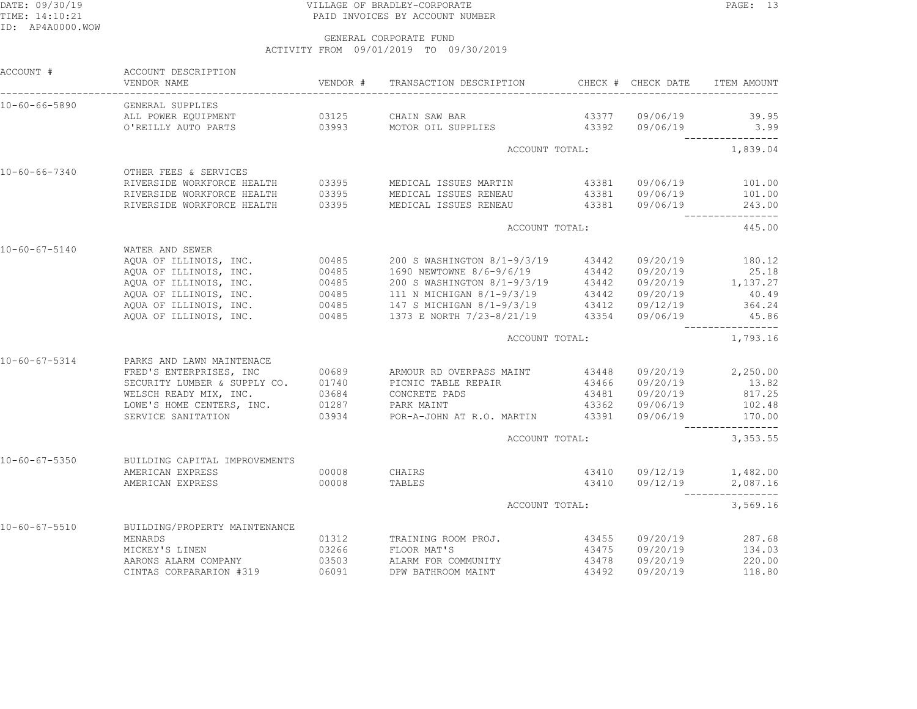# DATE: 09/30/19 PAGE: 13 TIME: 14:10:21 PAID INVOICES BY ACCOUNT NUMBER

| ACCOUNT #             | ACCOUNT DESCRIPTION<br>VENDOR NAME                                                                                                                                                                                                                 |                | VENDOR # TRANSACTION DESCRIPTION CHECK # CHECK DATE |       |                | ITEM AMOUNT            |
|-----------------------|----------------------------------------------------------------------------------------------------------------------------------------------------------------------------------------------------------------------------------------------------|----------------|-----------------------------------------------------|-------|----------------|------------------------|
| $10 - 60 - 66 - 5890$ | GENERAL SUPPLIES                                                                                                                                                                                                                                   |                |                                                     |       |                |                        |
|                       | ALL POWER EQUIPMENT                                                                                                                                                                                                                                | 03125          | CHAIN SAW BAR                                       |       | 43377 09/06/19 | 39.95                  |
|                       | O'REILLY AUTO PARTS                                                                                                                                                                                                                                |                | 03993 MOTOR OIL SUPPLIES 43392                      |       | 09/06/19       | 3.99                   |
|                       |                                                                                                                                                                                                                                                    |                | ACCOUNT TOTAL:                                      |       |                | 1,839.04               |
| $10 - 60 - 66 - 7340$ | OTHER FEES & SERVICES                                                                                                                                                                                                                              |                |                                                     |       |                |                        |
|                       | RIVERSIDE WORKFORCE HEALTH                                                                                                                                                                                                                         |                | 03395 MEDICAL ISSUES MARTIN                         |       |                | 43381 09/06/19 101.00  |
|                       | RIVERSIDE WORKFORCE HEALTH                                                                                                                                                                                                                         | 03395          | MEDICAL ISSUES RENEAU                               | 43381 | 09/06/19       | 101.00                 |
|                       | RIVERSIDE WORKFORCE HEALTH                                                                                                                                                                                                                         | 03395          | MEDICAL ISSUES RENEAU                               | 43381 | 09/06/19       | 243.00<br>------------ |
|                       |                                                                                                                                                                                                                                                    |                | ACCOUNT TOTAL:                                      |       |                | 445.00                 |
| $10 - 60 - 67 - 5140$ | WATER AND SEWER                                                                                                                                                                                                                                    |                |                                                     |       |                |                        |
|                       | AQUA OF ILLINOIS, INC.                                                                                                                                                                                                                             | 00485<br>00485 | 200 S WASHINGTON 8/1-9/3/19                         | 43442 | 09/20/19       | 180.12                 |
|                       | AQUA OF ILLINOIS, INC.                                                                                                                                                                                                                             |                | 1690 NEWTOWNE 8/6-9/6/19                            | 43442 | 09/20/19       | 25.18                  |
|                       |                                                                                                                                                                                                                                                    |                |                                                     |       |                | 09/20/19 1,137.27      |
|                       |                                                                                                                                                                                                                                                    |                |                                                     |       | 09/20/19       | 40.49                  |
|                       |                                                                                                                                                                                                                                                    |                |                                                     |       |                | 09/12/19 364.24        |
|                       | AQUA OF ILLINOIS, INC.<br>AQUA OF ILLINOIS, INC.<br>AQUA OF ILLINOIS, INC.<br>AQUA OF ILLINOIS, INC.<br>AQUA OF ILLINOIS, INC.<br>200485<br>2008 WASHINGTON 8/1-9/3/19<br>2008 WASHINGTON 8/1-9/3/19<br>2008 WASHINGTON 8/1-9/3/19<br>201485<br>20 |                |                                                     |       | 09/06/19       | 45.86                  |
|                       |                                                                                                                                                                                                                                                    |                | ACCOUNT TOTAL:                                      |       |                | 1,793.16               |
| $10 - 60 - 67 - 5314$ | PARKS AND LAWN MAINTENACE                                                                                                                                                                                                                          |                |                                                     |       |                |                        |
|                       | FRED'S ENTERPRISES, INC                                                                                                                                                                                                                            | 00689          | ARMOUR RD OVERPASS MAINT                            | 43448 |                | $09/20/19$ 2,250.00    |
|                       | SECURITY LUMBER & SUPPLY CO. 01740                                                                                                                                                                                                                 |                | PICNIC TABLE REPAIR                                 | 43466 | 09/20/19       | 13.82                  |
|                       | WELSCH READY MIX, INC. 03684                                                                                                                                                                                                                       |                | CONCRETE PADS                                       | 43481 | 09/20/19       | 817.25                 |
|                       | NELISON NEWSLETTERS, INC. 01287<br>LOWE'S HOME CENTERS, INC. 02024                                                                                                                                                                                 |                | PARK MAINT                                          | 43362 | 09/06/19       | 102.48                 |
|                       | SERVICE SANITATION                                                                                                                                                                                                                                 | 03934          | POR-A-JOHN AT R.O. MARTIN 43391                     |       | 09/06/19       | 170.00                 |
|                       |                                                                                                                                                                                                                                                    |                | ACCOUNT TOTAL:                                      |       |                | 3, 353.55              |
| $10 - 60 - 67 - 5350$ | BUILDING CAPITAL IMPROVEMENTS                                                                                                                                                                                                                      |                |                                                     |       |                |                        |
|                       | AMERICAN EXPRESS                                                                                                                                                                                                                                   | 00008          | CHAIRS                                              |       | 43410 09/12/19 | 1,482.00               |
|                       | AMERICAN EXPRESS                                                                                                                                                                                                                                   | 00008          | TABLES                                              | 43410 |                | 09/12/19 2,087.16      |
|                       |                                                                                                                                                                                                                                                    |                | ACCOUNT TOTAL:                                      |       |                | 3,569.16               |
| $10 - 60 - 67 - 5510$ | BUILDING/PROPERTY MAINTENANCE                                                                                                                                                                                                                      |                |                                                     |       |                |                        |
|                       | MENARDS                                                                                                                                                                                                                                            | 01312          | TRAINING ROOM PROJ.                                 | 43455 | 09/20/19       | 287.68                 |
|                       | MICKEY'S LINEN                                                                                                                                                                                                                                     | 03266          | FLOOR MAT'S                                         | 43475 | 09/20/19       | 134.03                 |
|                       | AARONS ALARM COMPANY                                                                                                                                                                                                                               | 03503          | ALARM FOR COMMUNITY                                 | 43478 | 09/20/19       | 220.00                 |
|                       | CINTAS CORPARARION #319                                                                                                                                                                                                                            | 06091          | DPW BATHROOM MAINT                                  | 43492 | 09/20/19       | 118.80                 |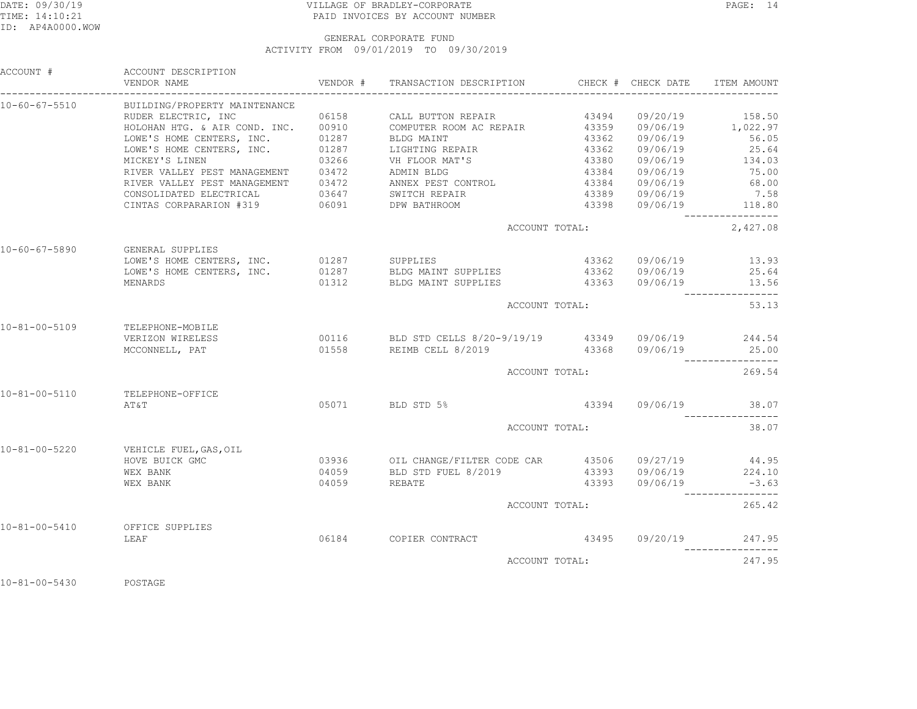## DATE: 09/30/19 PAGE: 14 TIME: 14:10:21 PAID INVOICES BY ACCOUNT NUMBER

 GENERAL CORPORATE FUNDACTIVITY FROM 09/01/2019 TO 09/30/2019

| ACCOUNT #     | ACCOUNT DESCRIPTION<br>VENDOR NAME                                                                                                   |       |                                                        |                       |                                          |
|---------------|--------------------------------------------------------------------------------------------------------------------------------------|-------|--------------------------------------------------------|-----------------------|------------------------------------------|
| 10-60-67-5510 | BUILDING/PROPERTY MAINTENANCE                                                                                                        |       |                                                        |                       |                                          |
|               |                                                                                                                                      |       |                                                        |                       |                                          |
|               |                                                                                                                                      |       |                                                        |                       |                                          |
|               | LOWE'S HOME CENTERS, INC. 01287 BLDG MAINT<br>LOWE'S HOME CENTERS, INC. 01287 LIGHTING REPAIR<br>MICKEY'S LINEN 03266 VH FLOOR MAT'S |       |                                                        | 43362 09/06/19 56.05  |                                          |
|               |                                                                                                                                      |       |                                                        |                       |                                          |
|               |                                                                                                                                      |       |                                                        |                       |                                          |
|               | RIVER VALLEY PEST MANAGEMENT 03472 ADMIN BLDG                                                                                        |       |                                                        | 43384 09/06/19 75.00  |                                          |
|               | RIVER VALLEY PEST MANAGEMENT 03472 ANNEX PEST CONTROL CONSOLIDATED ELECTRICAL 03647 SWITCH REPAIR                                    |       |                                                        |                       | 68.00                                    |
|               |                                                                                                                                      |       |                                                        |                       | 7.58                                     |
|               | CINTAS CORPARARION #319 06091 DPW BATHROOM                                                                                           |       |                                                        | 43398 09/06/19 118.80 | ________________                         |
|               |                                                                                                                                      |       | ACCOUNT TOTAL:                                         |                       | 2,427.08                                 |
| 10-60-67-5890 | GENERAL SUPPLIES                                                                                                                     |       |                                                        |                       |                                          |
|               | LOWE'S HOME CENTERS, INC. 01287 SUPPLIES                                                                                             |       |                                                        | 43362 09/06/19 13.93  |                                          |
|               | LOWE'S HOME CENTERS, INC. 01287 BLDG MAINT SUPPLIES 43362 09/06/19 25.64                                                             |       |                                                        |                       |                                          |
| MENARDS       |                                                                                                                                      |       | 01312 BLDG MAINT SUPPLIES 43363 09/06/19 13.56         |                       | -----------------                        |
|               |                                                                                                                                      |       | ACCOUNT TOTAL:                                         |                       | 53.13                                    |
|               | 10-81-00-5109 TELEPHONE-MOBILE                                                                                                       |       |                                                        |                       |                                          |
|               | VERIZON WIRELESS                                                                                                                     |       | 00116 BLD STD CELLS 8/20-9/19/19 43349 09/06/19 244.54 |                       |                                          |
|               | MCCONNELL, PAT                                                                                                                       |       | 01558 REIMB CELL 8/2019                                | 43368 09/06/19 25.00  | ________________                         |
|               |                                                                                                                                      |       | ACCOUNT TOTAL:                                         |                       | 269.54                                   |
| 10-81-00-5110 | TELEPHONE-OFFICE                                                                                                                     |       |                                                        |                       |                                          |
|               | AT&T                                                                                                                                 |       | 05071 BLD STD 5%                                       | 43394 09/06/19 38.07  |                                          |
|               |                                                                                                                                      |       | ACCOUNT TOTAL:                                         |                       | . _ _ _ _ _ _ _ _ _ _ _ _ _ _ _<br>38.07 |
| 10-81-00-5220 | VEHICLE FUEL, GAS, OIL                                                                                                               |       |                                                        |                       |                                          |
|               | HOVE BUICK GMC                                                                                                                       |       | 03936 OIL CHANGE/FILTER CODE CAR 43506 09/27/19 44.95  |                       |                                          |
|               | WEX BANK                                                                                                                             |       | 04059 BLD STD FUEL 8/2019 43393 09/06/19 224.10        |                       |                                          |
|               | WEX BANK                                                                                                                             | 04059 | REBATE                                                 | 43393 09/06/19 -3.63  | ----------------                         |
|               |                                                                                                                                      |       | ACCOUNT TOTAL:                                         |                       | 265.42                                   |
|               | 10-81-00-5410 OFFICE SUPPLIES                                                                                                        |       |                                                        |                       |                                          |
|               | LEAF                                                                                                                                 |       |                                                        |                       |                                          |
|               |                                                                                                                                      |       | ACCOUNT TOTAL:                                         |                       | 247.95                                   |
|               |                                                                                                                                      |       |                                                        |                       |                                          |

10-81-00-5430 POSTAGE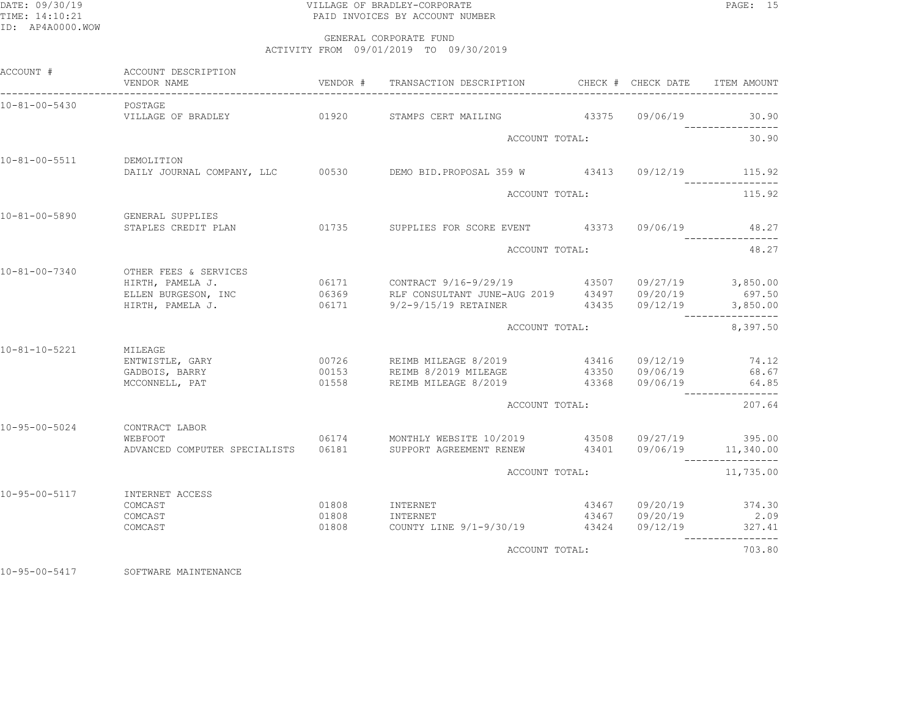# DATE: 09/30/19 PAGE: 15 TIME: 14:10:21 PAID INVOICES BY ACCOUNT NUMBER

 GENERAL CORPORATE FUNDACTIVITY FROM 09/01/2019 TO 09/30/2019

| ACCOUNT #             | ACCOUNT DESCRIPTION<br>VENDOR NAME                                                             | VENDOR #       | TRANSACTION DESCRIPTION                                                                                              | CHECK # CHECK DATE | ITEM AMOUNT                                                                 |
|-----------------------|------------------------------------------------------------------------------------------------|----------------|----------------------------------------------------------------------------------------------------------------------|--------------------|-----------------------------------------------------------------------------|
| 10-81-00-5430         | POSTAGE                                                                                        |                |                                                                                                                      |                    | 30.90                                                                       |
|                       |                                                                                                |                | ACCOUNT TOTAL:                                                                                                       |                    | 30.90                                                                       |
| 10-81-00-5511         | DEMOLITION                                                                                     |                | DAILY JOURNAL COMPANY, LLC 00530 DEMO BID.PROPOSAL 359 W 43413 09/12/19 115.92                                       |                    |                                                                             |
|                       |                                                                                                |                | ACCOUNT TOTAL:                                                                                                       |                    | ----------------<br>115.92                                                  |
| 10-81-00-5890         | GENERAL SUPPLIES<br>STAPLES CREDIT PLAN                                                        |                | 01735 SUPPLIES FOR SCORE EVENT 43373 09/06/19                                                                        |                    | 48.27                                                                       |
|                       |                                                                                                |                | ACCOUNT TOTAL:                                                                                                       | 48.27              |                                                                             |
| 10-81-00-7340         | OTHER FEES & SERVICES<br>HIRTH, PAMELA J.<br>ELLEN BURGESON, INC                               |                | 06369 RLF CONSULTANT JUNE-AUG 2019 43497 09/20/19                                                                    |                    | 697.50<br>3,850.00                                                          |
|                       |                                                                                                |                | ACCOUNT TOTAL:                                                                                                       |                    | ----------------<br>8,397.50                                                |
| 10-81-10-5221         | MILEAGE<br>ENTWISTLE, GARY<br>GADBOIS, BARRY<br>MCCONNELL, PAT                                 |                | 00726 REIMB MILEAGE 8/2019 43416 09/12/19<br>00153 REIMB 8/2019 MILEAGE<br>01558 REIMB MILEAGE 8/2019 43368 09/06/19 | 43350 09/06/19     | 74.12<br>68.67<br>64.85                                                     |
|                       |                                                                                                |                | ACCOUNT TOTAL:                                                                                                       |                    | ----------------<br>207.64                                                  |
| $10 - 95 - 00 - 5024$ | CONTRACT LABOR<br>WEBFOOT<br>ADVANCED COMPUTER SPECIALISTS    06181    SUPPORT AGREEMENT RENEW |                | 06174 MONTHLY WEBSITE 10/2019 43508 09/27/19 395.00                                                                  |                    | 43401 09/06/19 11,340.00<br>----------------                                |
|                       |                                                                                                |                | ACCOUNT TOTAL:                                                                                                       |                    | 11,735.00                                                                   |
| 10-95-00-5117         | INTERNET ACCESS<br>COMCAST<br>COMCAST<br>COMCAST                                               | 01808<br>01808 | 01808 INTERNET<br>INTERNET<br>COUNTY LINE 9/1-9/30/19 43424 09/12/19                                                 |                    | 43467 09/20/19 374.30<br>43467 09/20/19 2.09<br>327.41<br>----------------- |
|                       |                                                                                                |                | ACCOUNT TOTAL:                                                                                                       |                    | 703.80                                                                      |

10-95-00-5417 SOFTWARE MAINTENANCE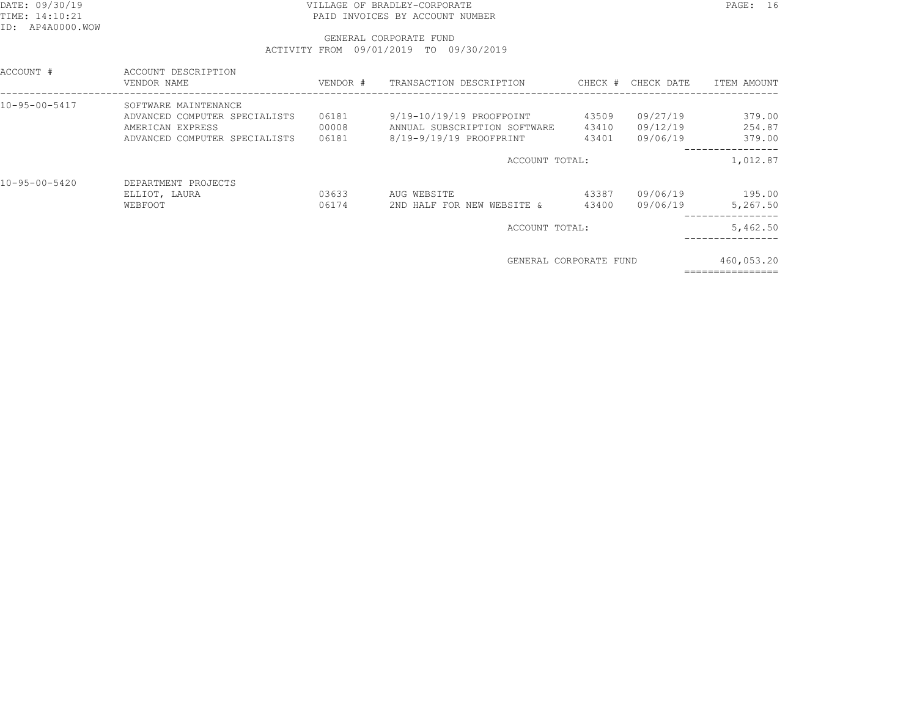## DATE: 09/30/19 PAGE: 16 TIME: 14:10:21 PAID INVOICES BY ACCOUNT NUMBER

### GENERAL CORPORATE FUNDACTIVITY FROM 09/01/2019 TO 09/30/2019

| ACCOUNT #     | ACCOUNT DESCRIPTION<br>VENDOR NAME | VENDOR # | TRANSACTION DESCRIPTION      | CHECK # | CHECK DATE | ITEM AMOUNT |
|---------------|------------------------------------|----------|------------------------------|---------|------------|-------------|
| 10-95-00-5417 | SOFTWARE MAINTENANCE               |          |                              |         |            |             |
|               | ADVANCED COMPUTER SPECIALISTS      | 06181    | 9/19-10/19/19 PROOFPOINT     | 43509   | 09/27/19   | 379.00      |
|               | AMERICAN EXPRESS                   | 00008    | ANNUAL SUBSCRIPTION SOFTWARE | 43410   | 09/12/19   | 254.87      |
|               | ADVANCED COMPUTER SPECIALISTS      | 06181    | 8/19-9/19/19 PROOFPRINT      | 43401   | 09/06/19   | 379.00      |
|               |                                    |          | ACCOUNT TOTAL:               |         |            | 1,012.87    |
| 10-95-00-5420 | DEPARTMENT PROJECTS                |          |                              |         |            |             |
|               | ELLIOT, LAURA                      | 03633    | AUG WEBSITE                  | 43387   | 09/06/19   | 195.00      |
|               | WEBFOOT                            | 06174    | 2ND HALF FOR NEW WEBSITE &   | 43400   | 09/06/19   | 5,267.50    |
|               |                                    |          | ACCOUNT TOTAL:               |         |            | 5,462.50    |
|               |                                    |          | GENERAL CORPORATE FUND       |         |            | 460,053.20  |

================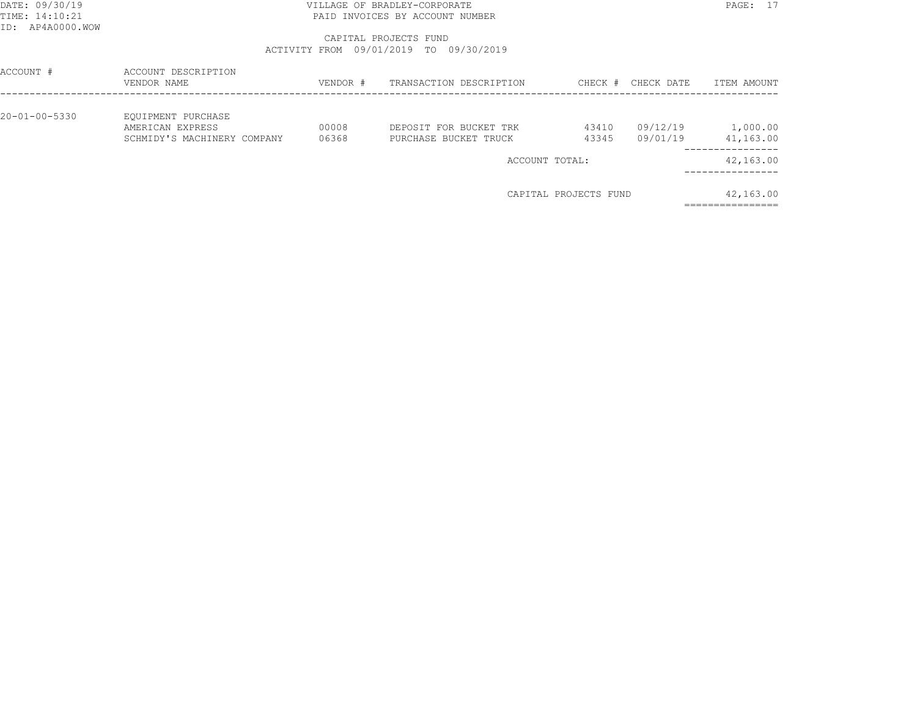### DATE: 09/30/19 PAGE: 17 TIME: 14:10:21 PAID INVOICES BY ACCOUNT NUMBER

### CAPITAL PROJECTS FUNDACTIVITY FROM 09/01/2019 TO 09/30/2019

| ACCOUNT #     | ACCOUNT DESCRIPTION<br>VENDOR NAME                                    | VENDOR #       | TRANSACTION DESCRIPTION                         | CHECK #               | CHECK DATE           | ITEM AMOUNT           |
|---------------|-----------------------------------------------------------------------|----------------|-------------------------------------------------|-----------------------|----------------------|-----------------------|
| 20-01-00-5330 | EQUIPMENT PURCHASE<br>AMERICAN EXPRESS<br>SCHMIDY'S MACHINERY COMPANY | 00008<br>06368 | DEPOSIT FOR BUCKET TRK<br>PURCHASE BUCKET TRUCK | 43410<br>43345        | 09/12/19<br>09/01/19 | 1,000.00<br>41,163.00 |
|               |                                                                       |                | ACCOUNT TOTAL:                                  |                       |                      | 42,163.00             |
|               |                                                                       |                |                                                 | CAPITAL PROJECTS FUND |                      | 42,163.00             |

================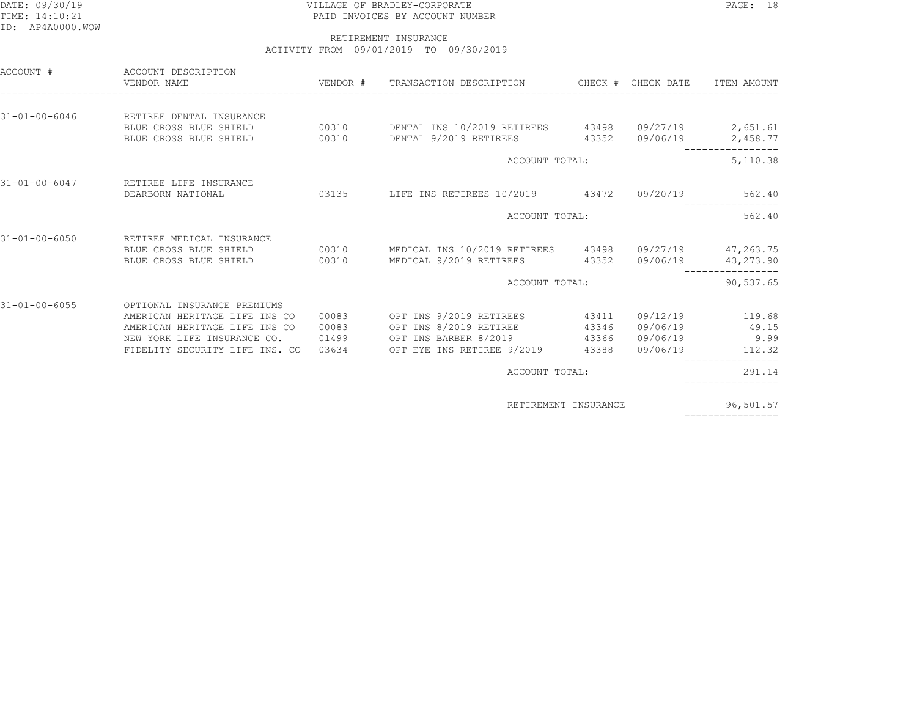### DATE: 09/30/19 PAGE: 18 TIME: 14:10:21 PAID INVOICES BY ACCOUNT NUMBER

### RETIREMENT INSURANCEACTIVITY FROM 09/01/2019 TO 09/30/2019

| ACCOUNT #             | ACCOUNT DESCRIPTION<br>VENDOR NAME                                                                                                                                         |                |                                                                                                               |                                  |                      |                                                                         |
|-----------------------|----------------------------------------------------------------------------------------------------------------------------------------------------------------------------|----------------|---------------------------------------------------------------------------------------------------------------|----------------------------------|----------------------|-------------------------------------------------------------------------|
| $31 - 01 - 00 - 6046$ | RETIREE DENTAL INSURANCE<br>BLUE CROSS BLUE SHIELD<br>00310                                                                                                                |                | BLUE CROSS BLUE SHIELD 00310 DENTAL INS 10/2019 RETIREES 43498 09/27/19 2,651.61<br>DENTAL 9/2019 RETIREES    |                                  | 43352 09/06/19       | 2,458.77                                                                |
|                       |                                                                                                                                                                            |                | ACCOUNT TOTAL:                                                                                                |                                  |                      | 5,110.38                                                                |
| $31 - 01 - 00 - 6047$ | RETIREE LIFE INSURANCE<br>DEARBORN NATIONAL                                                                                                                                |                | 03135 LIFE INS RETIREES 10/2019 43472 09/20/19                                                                |                                  |                      | 562.40                                                                  |
|                       |                                                                                                                                                                            |                | ACCOUNT TOTAL:                                                                                                |                                  |                      | -----------<br>562.40                                                   |
| $31 - 01 - 00 - 6050$ | RETIREE MEDICAL INSURANCE<br>BLUE CROSS BLUE SHIELD<br>00310                                                                                                               |                | BLUE CROSS BLUE SHIELD 60310 MEDICAL INS 10/2019 RETIREES 43498 09/27/19 47,263.75<br>MEDICAL 9/2019 RETIREES |                                  | 43352 09/06/19       | 43,273.90                                                               |
|                       |                                                                                                                                                                            |                | ACCOUNT TOTAL:                                                                                                |                                  |                      | 90,537.65                                                               |
| $31 - 01 - 00 - 6055$ | OPTIONAL INSURANCE PREMIUMS<br>AMERICAN HERITAGE LIFE INS CO<br>AMERICAN HERITAGE LIFE INS CO<br>NEW YORK LIFE INSURANCE CO. 01499<br>FIDELITY SECURITY LIFE INS. CO 03634 | 00083<br>00083 | OPT INS 9/2019 RETIREES<br>OPT INS 8/2019 RETIREE<br>OPT INS BARBER 8/2019<br>OPT EYE INS RETIREE 9/2019      | 43411<br>43346<br>43366<br>43388 | 09/06/19<br>09/06/19 | 09/12/19 119.68<br>09/06/19 49.15<br>9.99<br>112.32<br>---------------- |
|                       |                                                                                                                                                                            |                | ACCOUNT TOTAL:                                                                                                |                                  |                      | 291.14                                                                  |
|                       |                                                                                                                                                                            |                | RETIREMENT INSURANCE                                                                                          |                                  |                      | 96,501.57                                                               |
|                       |                                                                                                                                                                            |                |                                                                                                               |                                  |                      | ================                                                        |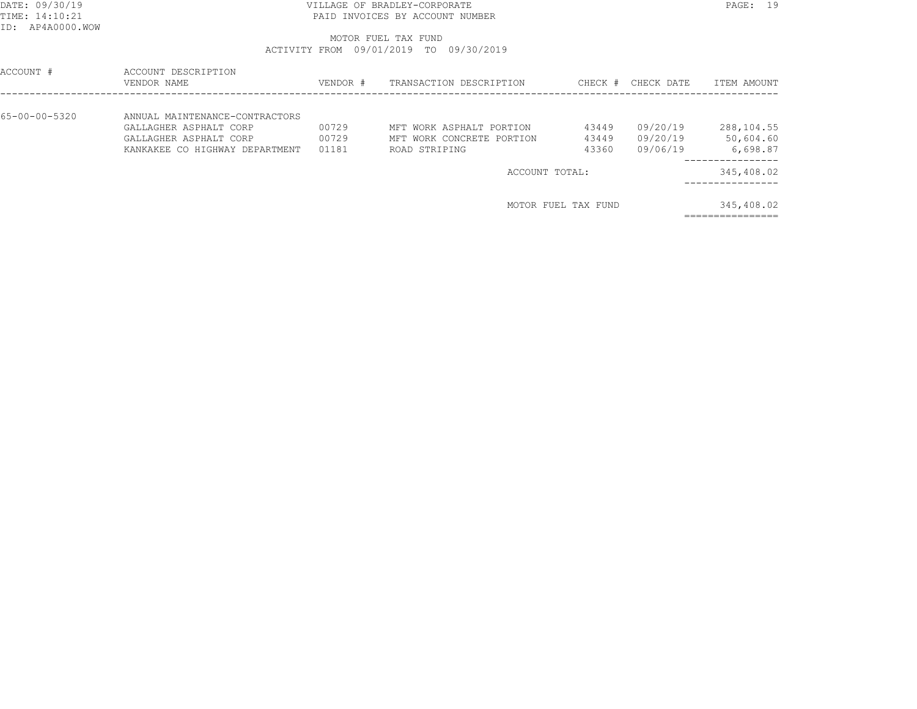### DATE: 09/30/19 PAGE: 19 TIME: 14:10:21 PAID INVOICES BY ACCOUNT NUMBER

# MOTOR FUEL TAX FUNDACTIVITY FROM 09/01/2019 TO 09/30/2019

| ACCOUNT #     | ACCOUNT DESCRIPTION<br>VENDOR NAME                                                                                   | VENDOR #                | TRANSACTION DESCRIPTION                                                | CHECK #                 | CHECK DATE                       | ITEM AMOUNT                         |
|---------------|----------------------------------------------------------------------------------------------------------------------|-------------------------|------------------------------------------------------------------------|-------------------------|----------------------------------|-------------------------------------|
| 65-00-00-5320 | ANNUAL MAINTENANCE-CONTRACTORS<br>GALLAGHER ASPHALT CORP<br>GALLAGHER ASPHALT CORP<br>KANKAKEE CO HIGHWAY DEPARTMENT | 00729<br>00729<br>01181 | MFT WORK ASPHALT PORTION<br>MFT WORK CONCRETE PORTION<br>ROAD STRIPING | 43449<br>43449<br>43360 | 09/20/19<br>09/20/19<br>09/06/19 | 288,104.55<br>50,604.60<br>6,698.87 |
|               |                                                                                                                      |                         | ACCOUNT TOTAL:                                                         |                         |                                  | 345,408.02                          |
|               |                                                                                                                      |                         |                                                                        | MOTOR FUEL TAX FUND     |                                  | 345,408.02                          |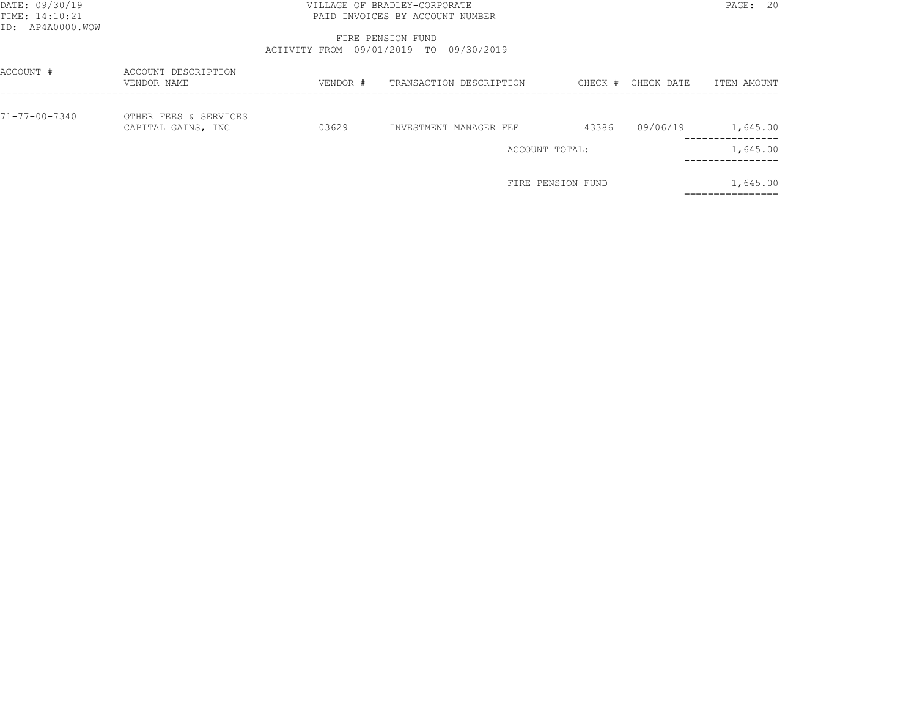## DATE: 09/30/19 PAGE: 20 PAGE: 20 TIME: 14:10:21 PAID INVOICES BY ACCOUNT NUMBER

 FIRE PENSION FUNDACTIVITY FROM 09/01/2019 TO 09/30/2019

| ACCOUNT #     | ACCOUNT DESCRIPTION<br>VENDOR NAME          | VENDOR # | TRANSACTION DESCRIPTION | CHECK # | CHECK DATE | ITEM AMOUNT                |
|---------------|---------------------------------------------|----------|-------------------------|---------|------------|----------------------------|
| 71-77-00-7340 | OTHER FEES & SERVICES<br>CAPITAL GAINS, INC | 03629    | INVESTMENT MANAGER FEE  | 43386   | 09/06/19   | 1,645.00<br>-------------- |
|               |                                             |          | ACCOUNT TOTAL:          |         |            | 1,645.00<br>------------   |
|               |                                             |          | FIRE PENSION FUND       |         |            | 1,645.00                   |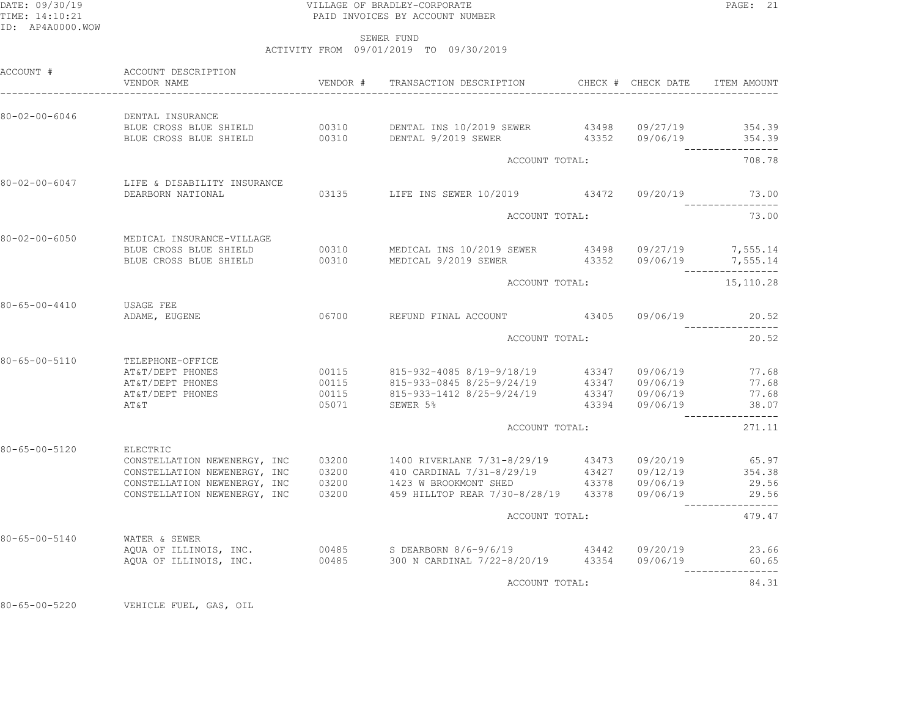### DATE: 09/30/19 PAGE: 21 PAGE: 21 TIME: 14:10:21 PAID INVOICES BY ACCOUNT NUMBER

SEWER FUND

ACTIVITY FROM 09/01/2019 TO 09/30/2019

| ACCOUNT #               | ACCOUNT DESCRIPTION<br>VENDOR NAME                           | VENDOR # | TRANSACTION DESCRIPTION CHECK # CHECK DATE                                                                                                                             |  |                | ITEM AMOUNT                |
|-------------------------|--------------------------------------------------------------|----------|------------------------------------------------------------------------------------------------------------------------------------------------------------------------|--|----------------|----------------------------|
| 80-02-00-6046           | DENTAL INSURANCE                                             |          |                                                                                                                                                                        |  |                |                            |
|                         |                                                              |          | BLUE CROSS BLUE SHIELD 00310 DENTAL INS 10/2019 SEWER 43498 09/27/19 354.39<br>BLUE CROSS BLUE SHIELD 00310 DENTAL 9/2019 SEWER 43352 09/06/19 354.39                  |  |                |                            |
|                         |                                                              |          | ACCOUNT TOTAL:                                                                                                                                                         |  |                | ________________<br>708.78 |
|                         | 80-02-00-6047 LIFE & DISABILITY INSURANCE                    |          |                                                                                                                                                                        |  |                |                            |
|                         | DEARBORN NATIONAL                                            |          | 03135 LIFE INS SEWER 10/2019 43472 09/20/19 73.00                                                                                                                      |  |                |                            |
|                         |                                                              |          | ACCOUNT TOTAL:                                                                                                                                                         |  |                | 73.00                      |
| 80-02-00-6050           | MEDICAL INSURANCE-VILLAGE<br>BLUE CROSS BLUE SHIELD          |          |                                                                                                                                                                        |  |                |                            |
| BLUE CROSS BLUE SHIELD  |                                                              |          | 00310 MEDICAL INS 10/2019 SEWER 43498 09/27/19 7,555.14<br>00310 MEDICAL 9/2019 SEWER 43352 09/06/19 7,555.14<br>--------------                                        |  |                |                            |
|                         |                                                              |          | ACCOUNT TOTAL:                                                                                                                                                         |  |                | 15,110.28                  |
| 80-65-00-4410 USAGE FEE |                                                              |          | 06700 REFUND FINAL ACCOUNT 43405 09/06/19                                                                                                                              |  |                | 20.52                      |
| ADAME, EUGENE           |                                                              |          |                                                                                                                                                                        |  |                |                            |
|                         |                                                              |          | ACCOUNT TOTAL:                                                                                                                                                         |  |                | 20.52                      |
| 80-65-00-5110           | TELEPHONE-OFFICE<br>AT&T/DEPT PHONES                         | 00115    | 815-932-4085 8/19-9/18/19 43347 09/06/19                                                                                                                               |  |                | 77.68                      |
|                         | AT&T/DEPT PHONES                                             |          |                                                                                                                                                                        |  |                | 77.68                      |
|                         | AT&T/DEPT PHONES                                             |          | 00115             815–933–0845  8/25–9/24/19                 43347        09/06/19<br>00115              815–933–1412  8/25–9/24/19               43347       09/06/19 |  |                | 77.68                      |
|                         | AT&T                                                         | 05071    | SEWER 5%                                                                                                                                                               |  | 43394 09/06/19 | 38.07<br>________________  |
|                         |                                                              |          | ACCOUNT TOTAL:                                                                                                                                                         |  |                | 271.11                     |
| $80 - 65 - 00 - 5120$   | ELECTRIC                                                     |          |                                                                                                                                                                        |  |                |                            |
|                         | CONSTELLATION NEWENERGY, INC<br>CONSTELLATION NEWENERGY, INC | 03200    | 03200 1400 RIVERLANE 7/31-8/29/19 43473 09/20/19 65.97<br>410 CARDINAL 7/31-8/29/19 43427 09/12/19                                                                     |  |                | 354.38                     |
|                         |                                                              |          | CONSTELLATION NEWENERGY, INC 03200 1423 W BROOKMONT SHED 43378 09/06/19                                                                                                |  |                | 29.56                      |
|                         | CONSTELLATION NEWENERGY, INC                                 | 03200    | 459 HILLTOP REAR 7/30-8/28/19  43378  09/06/19                                                                                                                         |  |                | 29.56                      |
|                         |                                                              |          | ACCOUNT TOTAL:                                                                                                                                                         |  |                | 479.47                     |
| 80-65-00-5140           | WATER & SEWER                                                |          |                                                                                                                                                                        |  |                |                            |
|                         | AQUA OF ILLINOIS, INC.                                       |          |                                                                                                                                                                        |  |                | 23.66<br>60.65             |
|                         |                                                              |          | ACCOUNT TOTAL:                                                                                                                                                         |  |                | ----------------<br>84.31  |

80-65-00-5220 VEHICLE FUEL, GAS, OIL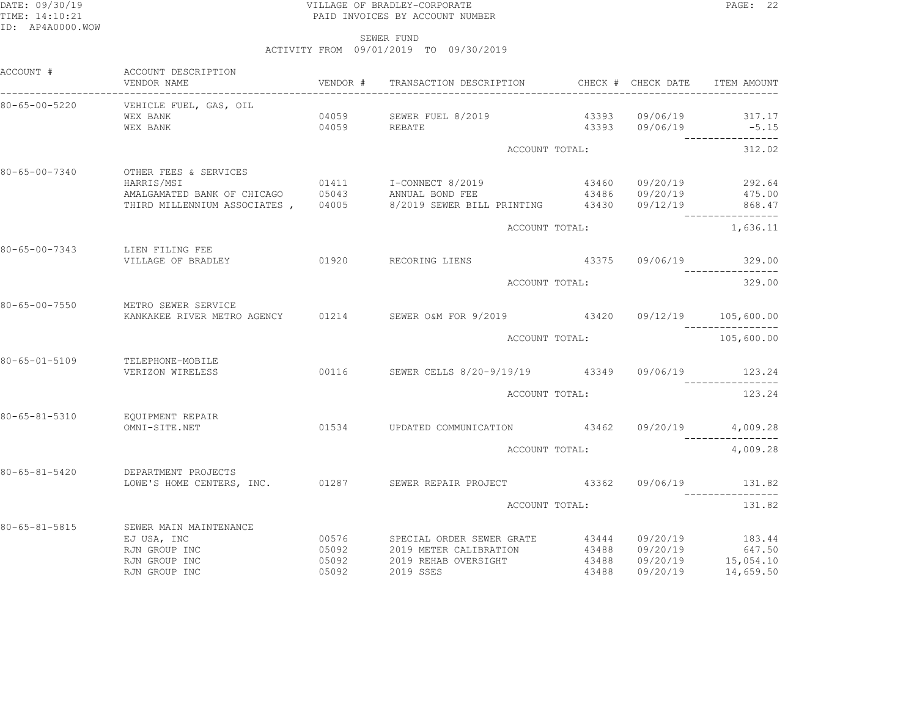### DATE: 09/30/19 PAGE: 22 TIME: 14:10:21 PAID INVOICES BY ACCOUNT NUMBER

 SEWER FUNDACTIVITY FROM 09/01/2019 TO 09/30/2019

| ACCOUNT #             | ACCOUNT DESCRIPTION<br>VENDOR NAME<br>_________________                                                                  |                |                                                                                  |       |                | ITEM AMOUNT                                                        |
|-----------------------|--------------------------------------------------------------------------------------------------------------------------|----------------|----------------------------------------------------------------------------------|-------|----------------|--------------------------------------------------------------------|
| 80-65-00-5220         | VEHICLE FUEL, GAS, OIL<br>WEX BANK<br>WEX BANK                                                                           |                | 04059 SEWER FUEL 8/2019<br>04059 REBATE                                          |       | 43393 09/06/19 | 43393 09/06/19 317.17<br>$-5.15$<br>----------------               |
|                       |                                                                                                                          |                | ACCOUNT TOTAL:                                                                   |       |                | 312.02                                                             |
| 80-65-00-7340         | OTHER FEES & SERVICES<br>HARRIS/MSI<br>AMALGAMATED BANK OF CHICAGO 05043 ANNUAL BOND FEE<br>THIRD MILLENNIUM ASSOCIATES, |                | 01411 I-CONNECT 8/2019<br>04005 8/2019 SEWER BILL PRINTING 43430 09/12/19 868.47 |       |                | 43460 09/20/19 292.64<br>43486 09/20/19 475.00<br>---------------- |
|                       |                                                                                                                          |                | ACCOUNT TOTAL:                                                                   |       |                | 1,636.11                                                           |
|                       | 80-65-00-7343 LIEN FILING FEE<br>VILLAGE OF BRADLEY                                                                      |                | 01920 RECORING LIENS 43375 09/06/19 329.00                                       |       |                | --------------                                                     |
|                       |                                                                                                                          |                | ACCOUNT TOTAL:                                                                   |       |                | 329.00                                                             |
| 80-65-00-7550         | METRO SEWER SERVICE<br>KANKAKEE RIVER METRO AGENCY 01214 SEWER O&M FOR 9/2019 43420 09/12/19 105,600.00                  |                |                                                                                  |       |                |                                                                    |
|                       |                                                                                                                          |                | ACCOUNT TOTAL:                                                                   |       |                | 105,600.00                                                         |
| $80 - 65 - 01 - 5109$ | TELEPHONE-MOBILE<br>VERIZON WIRELESS                                                                                     |                | 00116 SEWER CELLS 8/20-9/19/19 43349 09/06/19 123.24                             |       |                |                                                                    |
|                       |                                                                                                                          |                | ACCOUNT TOTAL:                                                                   |       |                | 123.24                                                             |
| $80 - 65 - 81 - 5310$ | EOUIPMENT REPAIR<br>OMNI-SITE.NET                                                                                        |                | 01534 UPDATED COMMUNICATION 43462 09/20/19 4,009.28                              |       |                |                                                                    |
|                       |                                                                                                                          |                | ACCOUNT TOTAL:                                                                   |       |                | 4,009.28                                                           |
| $80 - 65 - 81 - 5420$ | DEPARTMENT PROJECTS                                                                                                      |                |                                                                                  |       |                |                                                                    |
|                       |                                                                                                                          |                | ACCOUNT TOTAL:                                                                   |       |                | 131.82                                                             |
| 80-65-81-5815         | SEWER MAIN MAINTENANCE<br>EJ USA, INC<br>RJN GROUP INC<br>RJN GROUP INC<br>RJN GROUP INC                                 | 05092<br>05092 | 2019 SSES                                                                        | 43488 | 09/20/19       | 14,659.50                                                          |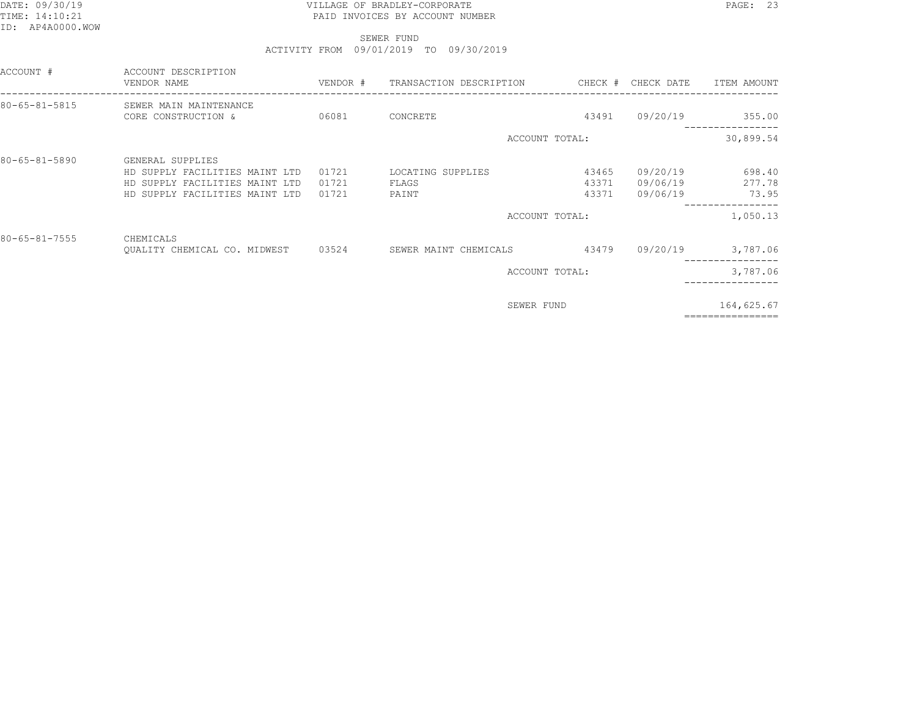### DATE: 09/30/19 PAGE: 23 TIME: 14:10:21 PAID INVOICES BY ACCOUNT NUMBER

 SEWER FUNDACTIVITY FROM 09/01/2019 TO 09/30/2019

| ACCOUNT #             | ACCOUNT DESCRIPTION<br>VENDOR NAME                                                                                     |                         |                                     |                         |                                  | ITEM AMOUNT                           |
|-----------------------|------------------------------------------------------------------------------------------------------------------------|-------------------------|-------------------------------------|-------------------------|----------------------------------|---------------------------------------|
| $80 - 65 - 81 - 5815$ | SEWER MAIN MAINTENANCE<br>CORE CONSTRUCTION &                                                                          | 06081                   | CONCRETE                            | 43491                   | 09/20/19                         | 355.00<br>. _ _ _ _ _ _ _ _ _ _ _ _ _ |
|                       |                                                                                                                        |                         | ACCOUNT TOTAL:                      |                         |                                  | 30,899.54                             |
| $80 - 65 - 81 - 5890$ | GENERAL SUPPLIES<br>HD SUPPLY FACILITIES MAINT LTD<br>HD SUPPLY FACILITIES MAINT LTD<br>HD SUPPLY FACILITIES MAINT LTD | 01721<br>01721<br>01721 | LOCATING SUPPLIES<br>FLAGS<br>PAINT | 43465<br>43371<br>43371 | 09/20/19<br>09/06/19<br>09/06/19 | 698.40<br>277.78<br>73.95             |
|                       |                                                                                                                        |                         | ACCOUNT TOTAL:                      |                         |                                  | 1,050.13                              |
| $80 - 65 - 81 - 7555$ | CHEMICALS<br>QUALITY CHEMICAL CO. MIDWEST 03524                                                                        |                         | SEWER MAINT CHEMICALS               | 43479                   | 09/20/19                         | 3,787.06                              |
|                       |                                                                                                                        |                         | ACCOUNT TOTAL:                      |                         |                                  | 3,787.06                              |
|                       |                                                                                                                        |                         | SEWER FUND                          |                         |                                  | 164,625.67<br>-------------           |